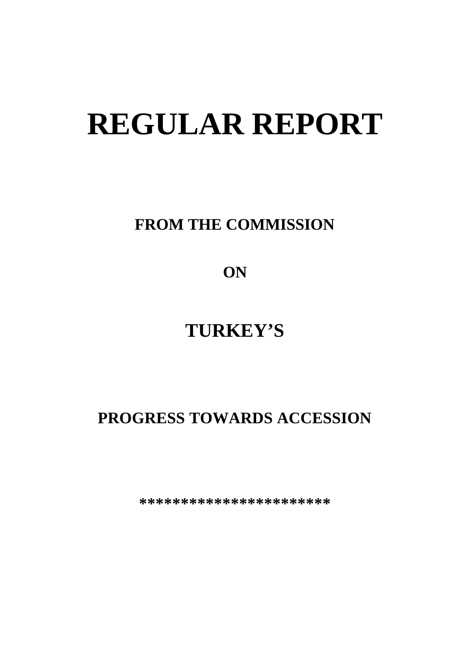# **REGULAR REPORT**

**FROM THE COMMISSION**

**ON**

# **TURKEY'S**

# **PROGRESS TOWARDS ACCESSION**

**\*\*\*\*\*\*\*\*\*\*\*\*\*\*\*\*\*\*\*\*\*\*\***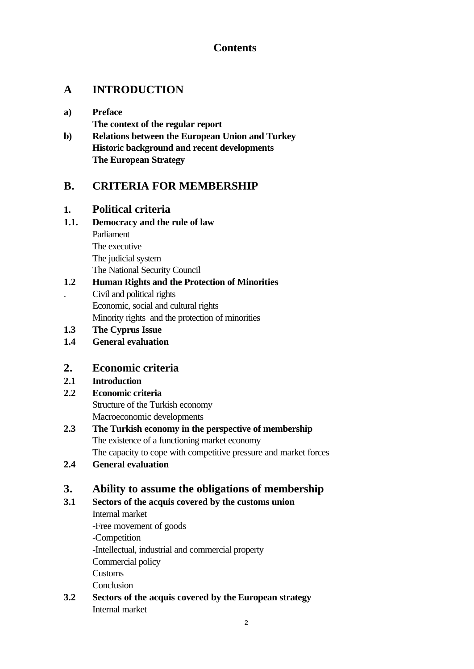# **Contents**

# **A INTRODUCTION**

- **a) Preface The context of the regular report**
- **b) Relations between the European Union and Turkey Historic background and recent developments The European Strategy**

# **B. CRITERIA FOR MEMBERSHIP**

# **1. Political criteria**

# **1.1. Democracy and the rule of law**

Parliament The executive The judicial system The National Security Council

### **1.2 Human Rights and the Protection of Minorities** . Civil and political rights

Economic, social and cultural rights

Minority rights and the protection of minorities

**1.3 The Cyprus Issue**

**1.4 General evaluation**

# **2. Economic criteria**

# **2.1 Introduction**

# **2.2 Economic criteria**

Structure of the Turkish economy Macroeconomic developments

- **2.3 The Turkish economy in the perspective of membership** The existence of a functioning market economy The capacity to cope with competitive pressure and market forces
- **2.4 General evaluation**

# **3. Ability to assume the obligations of membership**

# **3.1 Sectors of the acquis covered by the customs union**

Internal market -Free movement of goods -Competition -Intellectual, industrial and commercial property Commercial policy Customs Conclusion

**3.2 Sectors of the acquis covered by the European strategy** Internal market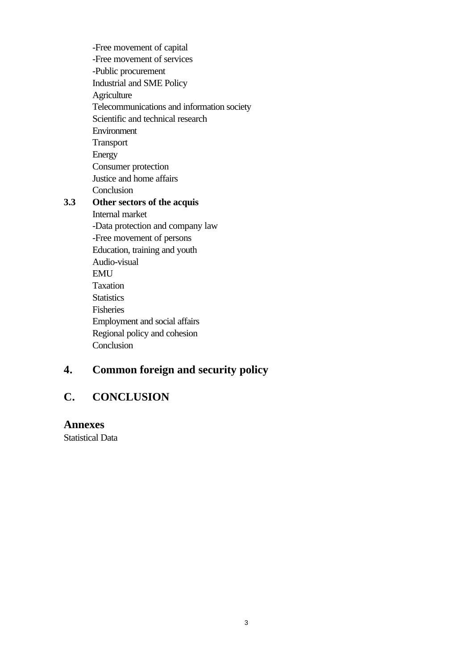-Free movement of capital -Free movement of services -Public procurement Industrial and SME Policy **Agriculture** Telecommunications and information society Scientific and technical research Environment Transport Energy Consumer protection Justice and home affairs **Conclusion** 

# **3.3 Other sectors of the acquis**

Internal market -Data protection and company law -Free movement of persons Education, training and youth Audio-visual EMU Taxation **Statistics** Fisheries Employment and social affairs Regional policy and cohesion Conclusion

# **4. Common foreign and security policy**

# **C. CONCLUSION**

#### **Annexes**

Statistical Data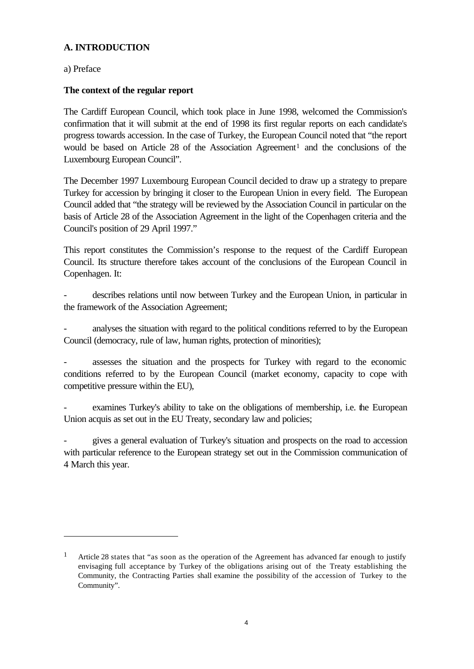#### **A. INTRODUCTION**

a) Preface

l

#### **The context of the regular report**

The Cardiff European Council, which took place in June 1998, welcomed the Commission's confirmation that it will submit at the end of 1998 its first regular reports on each candidate's progress towards accession. In the case of Turkey, the European Council noted that "the report would be based on Article 28 of the Association Agreement<sup>1</sup> and the conclusions of the Luxembourg European Council".

The December 1997 Luxembourg European Council decided to draw up a strategy to prepare Turkey for accession by bringing it closer to the European Union in every field. The European Council added that "the strategy will be reviewed by the Association Council in particular on the basis of Article 28 of the Association Agreement in the light of the Copenhagen criteria and the Council's position of 29 April 1997."

This report constitutes the Commission's response to the request of the Cardiff European Council. Its structure therefore takes account of the conclusions of the European Council in Copenhagen. It:

describes relations until now between Turkey and the European Union, in particular in the framework of the Association Agreement;

analyses the situation with regard to the political conditions referred to by the European Council (democracy, rule of law, human rights, protection of minorities);

assesses the situation and the prospects for Turkey with regard to the economic conditions referred to by the European Council (market economy, capacity to cope with competitive pressure within the EU),

examines Turkey's ability to take on the obligations of membership, i.e. the European Union acquis as set out in the EU Treaty, secondary law and policies;

- gives a general evaluation of Turkey's situation and prospects on the road to accession with particular reference to the European strategy set out in the Commission communication of 4 March this year.

Article 28 states that "as soon as the operation of the Agreement has advanced far enough to justify envisaging full acceptance by Turkey of the obligations arising out of the Treaty establishing the Community, the Contracting Parties shall examine the possibility of the accession of Turkey to the Community".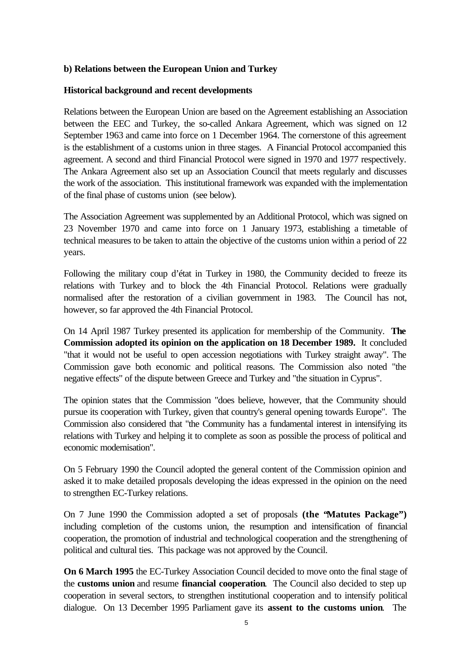#### **b) Relations between the European Union and Turkey**

#### **Historical background and recent developments**

Relations between the European Union are based on the Agreement establishing an Association between the EEC and Turkey, the so-called Ankara Agreement, which was signed on 12 September 1963 and came into force on 1 December 1964. The cornerstone of this agreement is the establishment of a customs union in three stages. A Financial Protocol accompanied this agreement. A second and third Financial Protocol were signed in 1970 and 1977 respectively. The Ankara Agreement also set up an Association Council that meets regularly and discusses the work of the association. This institutional framework was expanded with the implementation of the final phase of customs union (see below).

The Association Agreement was supplemented by an Additional Protocol, which was signed on 23 November 1970 and came into force on 1 January 1973, establishing a timetable of technical measures to be taken to attain the objective of the customs union within a period of 22 years.

Following the military coup d'état in Turkey in 1980, the Community decided to freeze its relations with Turkey and to block the 4th Financial Protocol. Relations were gradually normalised after the restoration of a civilian government in 1983. The Council has not, however, so far approved the 4th Financial Protocol.

On 14 April 1987 Turkey presented its application for membership of the Community. **The Commission adopted its opinion on the application on 18 December 1989.** It concluded "that it would not be useful to open accession negotiations with Turkey straight away". The Commission gave both economic and political reasons. The Commission also noted "the negative effects" of the dispute between Greece and Turkey and "the situation in Cyprus".

The opinion states that the Commission "does believe, however, that the Community should pursue its cooperation with Turkey, given that country's general opening towards Europe". The Commission also considered that "the Community has a fundamental interest in intensifying its relations with Turkey and helping it to complete as soon as possible the process of political and economic modernisation".

On 5 February 1990 the Council adopted the general content of the Commission opinion and asked it to make detailed proposals developing the ideas expressed in the opinion on the need to strengthen EC-Turkey relations.

On 7 June 1990 the Commission adopted a set of proposals **(the "Matutes Package")** including completion of the customs union, the resumption and intensification of financial cooperation, the promotion of industrial and technological cooperation and the strengthening of political and cultural ties. This package was not approved by the Council.

**On 6 March 1995** the EC-Turkey Association Council decided to move onto the final stage of the **customs union** and resume **financial cooperation**. The Council also decided to step up cooperation in several sectors, to strengthen institutional cooperation and to intensify political dialogue. On 13 December 1995 Parliament gave its **assent to the customs union**. The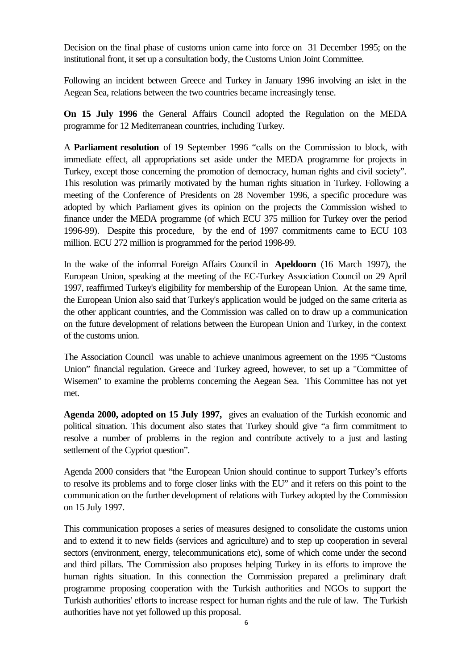Decision on the final phase of customs union came into force on 31 December 1995; on the institutional front, it set up a consultation body, the Customs Union Joint Committee.

Following an incident between Greece and Turkey in January 1996 involving an islet in the Aegean Sea, relations between the two countries became increasingly tense.

**On 15 July 1996** the General Affairs Council adopted the Regulation on the MEDA programme for 12 Mediterranean countries, including Turkey.

A **Parliament resolution** of 19 September 1996 "calls on the Commission to block, with immediate effect, all appropriations set aside under the MEDA programme for projects in Turkey, except those concerning the promotion of democracy, human rights and civil society". This resolution was primarily motivated by the human rights situation in Turkey. Following a meeting of the Conference of Presidents on 28 November 1996, a specific procedure was adopted by which Parliament gives its opinion on the projects the Commission wished to finance under the MEDA programme (of which ECU 375 million for Turkey over the period 1996-99). Despite this procedure, by the end of 1997 commitments came to ECU 103 million. ECU 272 million is programmed for the period 1998-99.

In the wake of the informal Foreign Affairs Council in **Apeldoorn** (16 March 1997), the European Union, speaking at the meeting of the EC-Turkey Association Council on 29 April 1997, reaffirmed Turkey's eligibility for membership of the European Union. At the same time, the European Union also said that Turkey's application would be judged on the same criteria as the other applicant countries, and the Commission was called on to draw up a communication on the future development of relations between the European Union and Turkey, in the context of the customs union.

The Association Council was unable to achieve unanimous agreement on the 1995 "Customs Union" financial regulation. Greece and Turkey agreed, however, to set up a "Committee of Wisemen" to examine the problems concerning the Aegean Sea. This Committee has not yet met.

**Agenda 2000, adopted on 15 July 1997,** gives an evaluation of the Turkish economic and political situation. This document also states that Turkey should give "a firm commitment to resolve a number of problems in the region and contribute actively to a just and lasting settlement of the Cypriot question".

Agenda 2000 considers that "the European Union should continue to support Turkey's efforts to resolve its problems and to forge closer links with the EU" and it refers on this point to the communication on the further development of relations with Turkey adopted by the Commission on 15 July 1997.

This communication proposes a series of measures designed to consolidate the customs union and to extend it to new fields (services and agriculture) and to step up cooperation in several sectors (environment, energy, telecommunications etc), some of which come under the second and third pillars. The Commission also proposes helping Turkey in its efforts to improve the human rights situation. In this connection the Commission prepared a preliminary draft programme proposing cooperation with the Turkish authorities and NGOs to support the Turkish authorities' efforts to increase respect for human rights and the rule of law. The Turkish authorities have not yet followed up this proposal.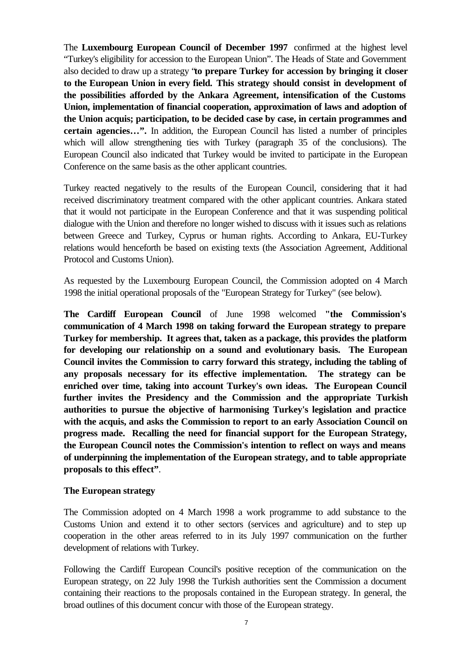The **Luxembourg European Council of December 1997** confirmed at the highest level "Turkey's eligibility for accession to the European Union". The Heads of State and Government also decided to draw up a strategy "**to prepare Turkey for accession by bringing it closer to the European Union in every field. This strategy should consist in development of the possibilities afforded by the Ankara Agreement, intensification of the Customs Union, implementation of financial cooperation, approximation of laws and adoption of the Union acquis; participation, to be decided case by case, in certain programmes and certain agencies…".** In addition, the European Council has listed a number of principles which will allow strengthening ties with Turkey (paragraph 35 of the conclusions). The European Council also indicated that Turkey would be invited to participate in the European Conference on the same basis as the other applicant countries.

Turkey reacted negatively to the results of the European Council, considering that it had received discriminatory treatment compared with the other applicant countries. Ankara stated that it would not participate in the European Conference and that it was suspending political dialogue with the Union and therefore no longer wished to discuss with it issues such as relations between Greece and Turkey, Cyprus or human rights. According to Ankara, EU-Turkey relations would henceforth be based on existing texts (the Association Agreement, Additional Protocol and Customs Union).

As requested by the Luxembourg European Council, the Commission adopted on 4 March 1998 the initial operational proposals of the "European Strategy for Turkey" (see below).

**The Cardiff European Council** of June 1998 welcomed **"the Commission's communication of 4 March 1998 on taking forward the European strategy to prepare Turkey for membership. It agrees that, taken as a package, this provides the platform for developing our relationship on a sound and evolutionary basis. The European Council invites the Commission to carry forward this strategy, including the tabling of any proposals necessary for its effective implementation. The strategy can be enriched over time, taking into account Turkey's own ideas. The European Council further invites the Presidency and the Commission and the appropriate Turkish authorities to pursue the objective of harmonising Turkey's legislation and practice with the acquis, and asks the Commission to report to an early Association Council on progress made. Recalling the need for financial support for the European Strategy, the European Council notes the Commission's intention to reflect on ways and means of underpinning the implementation of the European strategy, and to table appropriate proposals to this effect"**.

#### **The European strategy**

The Commission adopted on 4 March 1998 a work programme to add substance to the Customs Union and extend it to other sectors (services and agriculture) and to step up cooperation in the other areas referred to in its July 1997 communication on the further development of relations with Turkey.

Following the Cardiff European Council's positive reception of the communication on the European strategy, on 22 July 1998 the Turkish authorities sent the Commission a document containing their reactions to the proposals contained in the European strategy. In general, the broad outlines of this document concur with those of the European strategy.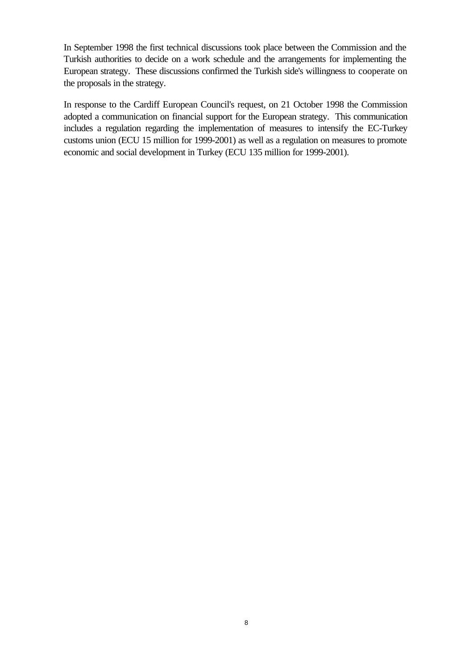In September 1998 the first technical discussions took place between the Commission and the Turkish authorities to decide on a work schedule and the arrangements for implementing the European strategy. These discussions confirmed the Turkish side's willingness to cooperate on the proposals in the strategy.

In response to the Cardiff European Council's request, on 21 October 1998 the Commission adopted a communication on financial support for the European strategy. This communication includes a regulation regarding the implementation of measures to intensify the EC-Turkey customs union (ECU 15 million for 1999-2001) as well as a regulation on measures to promote economic and social development in Turkey (ECU 135 million for 1999-2001).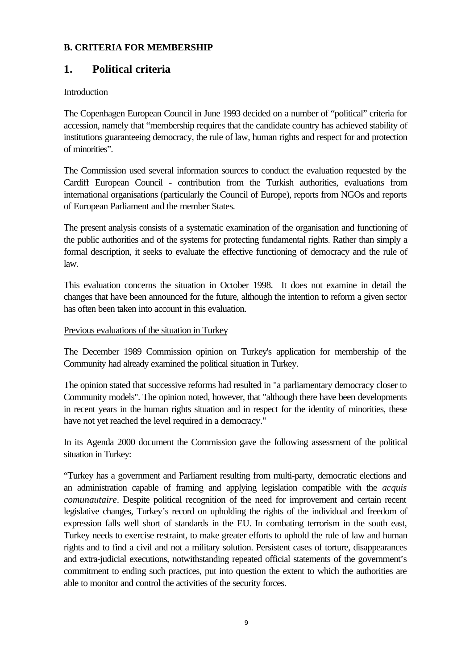#### **B. CRITERIA FOR MEMBERSHIP**

# **1. Political criteria**

#### Introduction

The Copenhagen European Council in June 1993 decided on a number of "political" criteria for accession, namely that "membership requires that the candidate country has achieved stability of institutions guaranteeing democracy, the rule of law, human rights and respect for and protection of minorities".

The Commission used several information sources to conduct the evaluation requested by the Cardiff European Council - contribution from the Turkish authorities, evaluations from international organisations (particularly the Council of Europe), reports from NGOs and reports of European Parliament and the member States.

The present analysis consists of a systematic examination of the organisation and functioning of the public authorities and of the systems for protecting fundamental rights. Rather than simply a formal description, it seeks to evaluate the effective functioning of democracy and the rule of law.

This evaluation concerns the situation in October 1998. It does not examine in detail the changes that have been announced for the future, although the intention to reform a given sector has often been taken into account in this evaluation.

#### Previous evaluations of the situation in Turkey

The December 1989 Commission opinion on Turkey's application for membership of the Community had already examined the political situation in Turkey.

The opinion stated that successive reforms had resulted in "a parliamentary democracy closer to Community models". The opinion noted, however, that "although there have been developments in recent years in the human rights situation and in respect for the identity of minorities, these have not yet reached the level required in a democracy."

In its Agenda 2000 document the Commission gave the following assessment of the political situation in Turkey:

"Turkey has a government and Parliament resulting from multi-party, democratic elections and an administration capable of framing and applying legislation compatible with the *acquis comunautaire*. Despite political recognition of the need for improvement and certain recent legislative changes, Turkey's record on upholding the rights of the individual and freedom of expression falls well short of standards in the EU. In combating terrorism in the south east, Turkey needs to exercise restraint, to make greater efforts to uphold the rule of law and human rights and to find a civil and not a military solution. Persistent cases of torture, disappearances and extra-judicial executions, notwithstanding repeated official statements of the government's commitment to ending such practices, put into question the extent to which the authorities are able to monitor and control the activities of the security forces.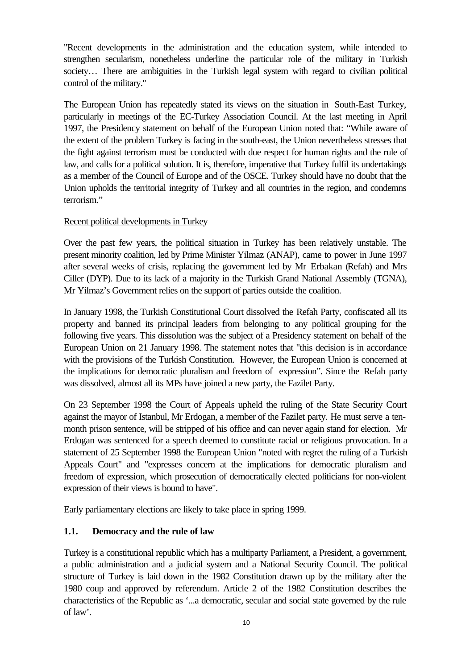"Recent developments in the administration and the education system, while intended to strengthen secularism, nonetheless underline the particular role of the military in Turkish society... There are ambiguities in the Turkish legal system with regard to civilian political control of the military."

The European Union has repeatedly stated its views on the situation in South-East Turkey, particularly in meetings of the EC-Turkey Association Council. At the last meeting in April 1997, the Presidency statement on behalf of the European Union noted that: "While aware of the extent of the problem Turkey is facing in the south-east, the Union nevertheless stresses that the fight against terrorism must be conducted with due respect for human rights and the rule of law, and calls for a political solution. It is, therefore, imperative that Turkey fulfil its undertakings as a member of the Council of Europe and of the OSCE. Turkey should have no doubt that the Union upholds the territorial integrity of Turkey and all countries in the region, and condemns terrorism."

#### Recent political developments in Turkey

Over the past few years, the political situation in Turkey has been relatively unstable. The present minority coalition, led by Prime Minister Yilmaz (ANAP), came to power in June 1997 after several weeks of crisis, replacing the government led by Mr Erbakan (Refah) and Mrs Ciller (DYP). Due to its lack of a majority in the Turkish Grand National Assembly (TGNA), Mr Yilmaz's Government relies on the support of parties outside the coalition.

In January 1998, the Turkish Constitutional Court dissolved the Refah Party, confiscated all its property and banned its principal leaders from belonging to any political grouping for the following five years. This dissolution was the subject of a Presidency statement on behalf of the European Union on 21 January 1998. The statement notes that "this decision is in accordance with the provisions of the Turkish Constitution. However, the European Union is concerned at the implications for democratic pluralism and freedom of expression". Since the Refah party was dissolved, almost all its MPs have joined a new party, the Fazilet Party.

On 23 September 1998 the Court of Appeals upheld the ruling of the State Security Court against the mayor of Istanbul, Mr Erdogan, a member of the Fazilet party. He must serve a tenmonth prison sentence, will be stripped of his office and can never again stand for election. Mr Erdogan was sentenced for a speech deemed to constitute racial or religious provocation. In a statement of 25 September 1998 the European Union "noted with regret the ruling of a Turkish Appeals Court" and "expresses concern at the implications for democratic pluralism and freedom of expression, which prosecution of democratically elected politicians for non-violent expression of their views is bound to have".

Early parliamentary elections are likely to take place in spring 1999.

#### **1.1. Democracy and the rule of law**

Turkey is a constitutional republic which has a multiparty Parliament, a President, a government, a public administration and a judicial system and a National Security Council. The political structure of Turkey is laid down in the 1982 Constitution drawn up by the military after the 1980 coup and approved by referendum. Article 2 of the 1982 Constitution describes the characteristics of the Republic as '...a democratic, secular and social state governed by the rule of law'.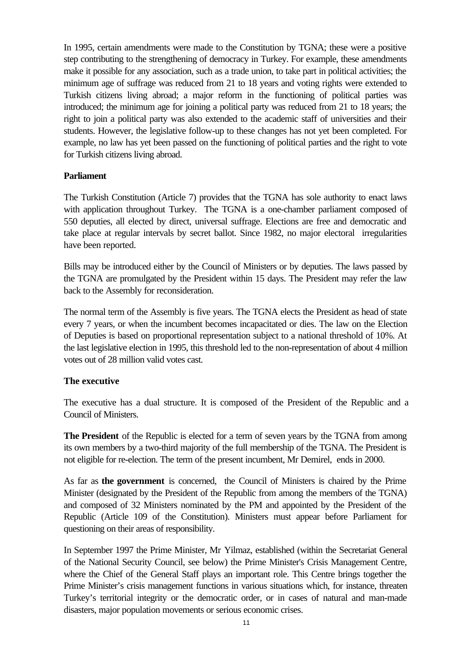In 1995, certain amendments were made to the Constitution by TGNA; these were a positive step contributing to the strengthening of democracy in Turkey. For example, these amendments make it possible for any association, such as a trade union, to take part in political activities; the minimum age of suffrage was reduced from 21 to 18 years and voting rights were extended to Turkish citizens living abroad; a major reform in the functioning of political parties was introduced; the minimum age for joining a political party was reduced from 21 to 18 years; the right to join a political party was also extended to the academic staff of universities and their students. However, the legislative follow-up to these changes has not yet been completed. For example, no law has yet been passed on the functioning of political parties and the right to vote for Turkish citizens living abroad.

#### **Parliament**

The Turkish Constitution (Article 7) provides that the TGNA has sole authority to enact laws with application throughout Turkey. The TGNA is a one-chamber parliament composed of 550 deputies, all elected by direct, universal suffrage. Elections are free and democratic and take place at regular intervals by secret ballot. Since 1982, no major electoral irregularities have been reported.

Bills may be introduced either by the Council of Ministers or by deputies. The laws passed by the TGNA are promulgated by the President within 15 days. The President may refer the law back to the Assembly for reconsideration.

The normal term of the Assembly is five years. The TGNA elects the President as head of state every 7 years, or when the incumbent becomes incapacitated or dies. The law on the Election of Deputies is based on proportional representation subject to a national threshold of 10%. At the last legislative election in 1995, this threshold led to the non-representation of about 4 million votes out of 28 million valid votes cast.

#### **The executive**

The executive has a dual structure. It is composed of the President of the Republic and a Council of Ministers.

**The President** of the Republic is elected for a term of seven years by the TGNA from among its own members by a two-third majority of the full membership of the TGNA. The President is not eligible for re-election. The term of the present incumbent, Mr Demirel, ends in 2000.

As far as **the government** is concerned, the Council of Ministers is chaired by the Prime Minister (designated by the President of the Republic from among the members of the TGNA) and composed of 32 Ministers nominated by the PM and appointed by the President of the Republic (Article 109 of the Constitution). Ministers must appear before Parliament for questioning on their areas of responsibility.

In September 1997 the Prime Minister, Mr Yilmaz, established (within the Secretariat General of the National Security Council, see below) the Prime Minister's Crisis Management Centre, where the Chief of the General Staff plays an important role. This Centre brings together the Prime Minister's crisis management functions in various situations which, for instance, threaten Turkey's territorial integrity or the democratic order, or in cases of natural and man-made disasters, major population movements or serious economic crises.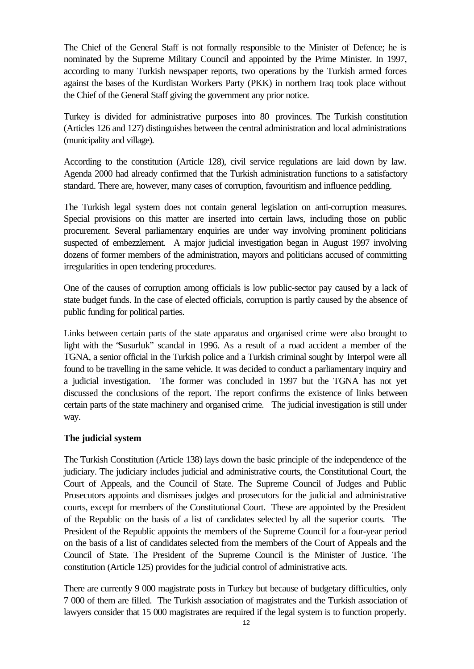The Chief of the General Staff is not formally responsible to the Minister of Defence; he is nominated by the Supreme Military Council and appointed by the Prime Minister. In 1997, according to many Turkish newspaper reports, two operations by the Turkish armed forces against the bases of the Kurdistan Workers Party (PKK) in northern Iraq took place without the Chief of the General Staff giving the government any prior notice.

Turkey is divided for administrative purposes into 80 provinces. The Turkish constitution (Articles 126 and 127) distinguishes between the central administration and local administrations (municipality and village).

According to the constitution (Article 128), civil service regulations are laid down by law. Agenda 2000 had already confirmed that the Turkish administration functions to a satisfactory standard. There are, however, many cases of corruption, favouritism and influence peddling.

The Turkish legal system does not contain general legislation on anti-corruption measures. Special provisions on this matter are inserted into certain laws, including those on public procurement. Several parliamentary enquiries are under way involving prominent politicians suspected of embezzlement. A major judicial investigation began in August 1997 involving dozens of former members of the administration, mayors and politicians accused of committing irregularities in open tendering procedures.

One of the causes of corruption among officials is low public-sector pay caused by a lack of state budget funds. In the case of elected officials, corruption is partly caused by the absence of public funding for political parties.

Links between certain parts of the state apparatus and organised crime were also brought to light with the "Susurluk" scandal in 1996. As a result of a road accident a member of the TGNA, a senior official in the Turkish police and a Turkish criminal sought by Interpol were all found to be travelling in the same vehicle. It was decided to conduct a parliamentary inquiry and a judicial investigation. The former was concluded in 1997 but the TGNA has not yet discussed the conclusions of the report. The report confirms the existence of links between certain parts of the state machinery and organised crime. The judicial investigation is still under way.

#### **The judicial system**

The Turkish Constitution (Article 138) lays down the basic principle of the independence of the judiciary. The judiciary includes judicial and administrative courts, the Constitutional Court, the Court of Appeals, and the Council of State. The Supreme Council of Judges and Public Prosecutors appoints and dismisses judges and prosecutors for the judicial and administrative courts, except for members of the Constitutional Court. These are appointed by the President of the Republic on the basis of a list of candidates selected by all the superior courts. The President of the Republic appoints the members of the Supreme Council for a four-year period on the basis of a list of candidates selected from the members of the Court of Appeals and the Council of State. The President of the Supreme Council is the Minister of Justice. The constitution (Article 125) provides for the judicial control of administrative acts.

There are currently 9 000 magistrate posts in Turkey but because of budgetary difficulties, only 7 000 of them are filled. The Turkish association of magistrates and the Turkish association of lawyers consider that 15 000 magistrates are required if the legal system is to function properly.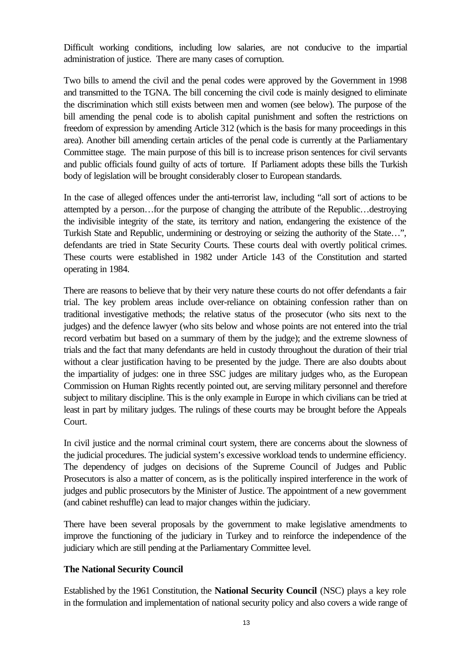Difficult working conditions, including low salaries, are not conducive to the impartial administration of justice. There are many cases of corruption.

Two bills to amend the civil and the penal codes were approved by the Government in 1998 and transmitted to the TGNA. The bill concerning the civil code is mainly designed to eliminate the discrimination which still exists between men and women (see below). The purpose of the bill amending the penal code is to abolish capital punishment and soften the restrictions on freedom of expression by amending Article 312 (which is the basis for many proceedings in this area). Another bill amending certain articles of the penal code is currently at the Parliamentary Committee stage. The main purpose of this bill is to increase prison sentences for civil servants and public officials found guilty of acts of torture. If Parliament adopts these bills the Turkish body of legislation will be brought considerably closer to European standards.

In the case of alleged offences under the anti-terrorist law, including "all sort of actions to be attempted by a person…for the purpose of changing the attribute of the Republic…destroying the indivisible integrity of the state, its territory and nation, endangering the existence of the Turkish State and Republic, undermining or destroying or seizing the authority of the State…", defendants are tried in State Security Courts. These courts deal with overtly political crimes. These courts were established in 1982 under Article 143 of the Constitution and started operating in 1984.

There are reasons to believe that by their very nature these courts do not offer defendants a fair trial. The key problem areas include over-reliance on obtaining confession rather than on traditional investigative methods; the relative status of the prosecutor (who sits next to the judges) and the defence lawyer (who sits below and whose points are not entered into the trial record verbatim but based on a summary of them by the judge); and the extreme slowness of trials and the fact that many defendants are held in custody throughout the duration of their trial without a clear justification having to be presented by the judge. There are also doubts about the impartiality of judges: one in three SSC judges are military judges who, as the European Commission on Human Rights recently pointed out, are serving military personnel and therefore subject to military discipline. This is the only example in Europe in which civilians can be tried at least in part by military judges. The rulings of these courts may be brought before the Appeals Court.

In civil justice and the normal criminal court system, there are concerns about the slowness of the judicial procedures. The judicial system's excessive workload tends to undermine efficiency. The dependency of judges on decisions of the Supreme Council of Judges and Public Prosecutors is also a matter of concern, as is the politically inspired interference in the work of judges and public prosecutors by the Minister of Justice. The appointment of a new government (and cabinet reshuffle) can lead to major changes within the judiciary.

There have been several proposals by the government to make legislative amendments to improve the functioning of the judiciary in Turkey and to reinforce the independence of the judiciary which are still pending at the Parliamentary Committee level.

#### **The National Security Council**

Established by the 1961 Constitution, the **National Security Council** (NSC) plays a key role in the formulation and implementation of national security policy and also covers a wide range of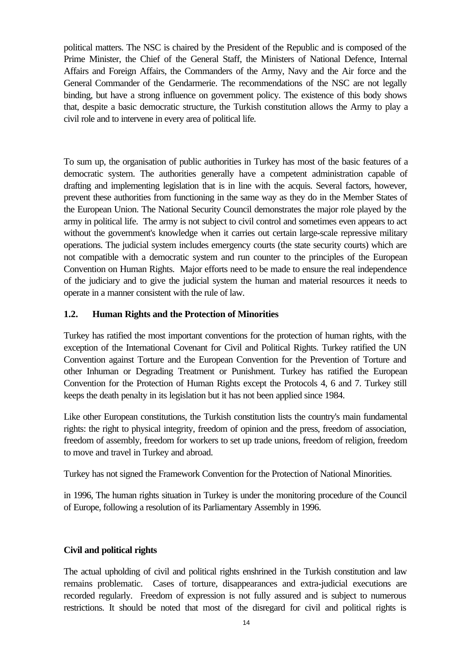political matters. The NSC is chaired by the President of the Republic and is composed of the Prime Minister, the Chief of the General Staff, the Ministers of National Defence, Internal Affairs and Foreign Affairs, the Commanders of the Army, Navy and the Air force and the General Commander of the Gendarmerie. The recommendations of the NSC are not legally binding, but have a strong influence on government policy. The existence of this body shows that, despite a basic democratic structure, the Turkish constitution allows the Army to play a civil role and to intervene in every area of political life.

To sum up, the organisation of public authorities in Turkey has most of the basic features of a democratic system. The authorities generally have a competent administration capable of drafting and implementing legislation that is in line with the acquis. Several factors, however, prevent these authorities from functioning in the same way as they do in the Member States of the European Union. The National Security Council demonstrates the major role played by the army in political life. The army is not subject to civil control and sometimes even appears to act without the government's knowledge when it carries out certain large-scale repressive military operations. The judicial system includes emergency courts (the state security courts) which are not compatible with a democratic system and run counter to the principles of the European Convention on Human Rights. Major efforts need to be made to ensure the real independence of the judiciary and to give the judicial system the human and material resources it needs to operate in a manner consistent with the rule of law.

#### **1.2. Human Rights and the Protection of Minorities**

Turkey has ratified the most important conventions for the protection of human rights, with the exception of the International Covenant for Civil and Political Rights. Turkey ratified the UN Convention against Torture and the European Convention for the Prevention of Torture and other Inhuman or Degrading Treatment or Punishment. Turkey has ratified the European Convention for the Protection of Human Rights except the Protocols 4, 6 and 7. Turkey still keeps the death penalty in its legislation but it has not been applied since 1984.

Like other European constitutions, the Turkish constitution lists the country's main fundamental rights: the right to physical integrity, freedom of opinion and the press, freedom of association, freedom of assembly, freedom for workers to set up trade unions, freedom of religion, freedom to move and travel in Turkey and abroad.

Turkey has not signed the Framework Convention for the Protection of National Minorities.

in 1996, The human rights situation in Turkey is under the monitoring procedure of the Council of Europe, following a resolution of its Parliamentary Assembly in 1996.

#### **Civil and political rights**

The actual upholding of civil and political rights enshrined in the Turkish constitution and law remains problematic. Cases of torture, disappearances and extra-judicial executions are recorded regularly. Freedom of expression is not fully assured and is subject to numerous restrictions. It should be noted that most of the disregard for civil and political rights is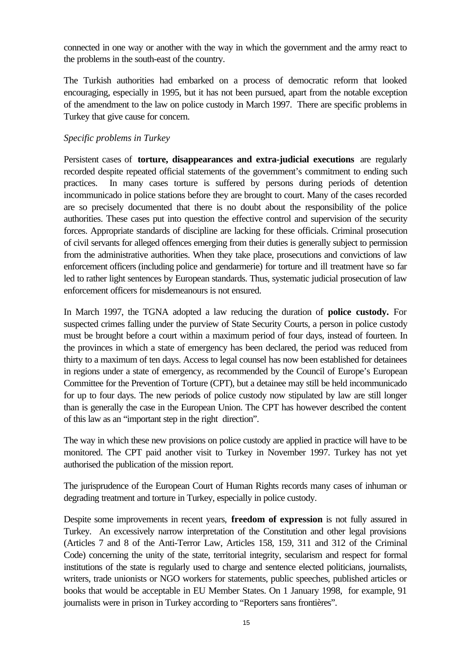connected in one way or another with the way in which the government and the army react to the problems in the south-east of the country.

The Turkish authorities had embarked on a process of democratic reform that looked encouraging, especially in 1995, but it has not been pursued, apart from the notable exception of the amendment to the law on police custody in March 1997. There are specific problems in Turkey that give cause for concern.

#### *Specific problems in Turkey*

Persistent cases of **torture, disappearances and extra-judicial executions** are regularly recorded despite repeated official statements of the government's commitment to ending such practices. In many cases torture is suffered by persons during periods of detention incommunicado in police stations before they are brought to court. Many of the cases recorded are so precisely documented that there is no doubt about the responsibility of the police authorities. These cases put into question the effective control and supervision of the security forces. Appropriate standards of discipline are lacking for these officials. Criminal prosecution of civil servants for alleged offences emerging from their duties is generally subject to permission from the administrative authorities. When they take place, prosecutions and convictions of law enforcement officers (including police and gendarmerie) for torture and ill treatment have so far led to rather light sentences by European standards. Thus, systematic judicial prosecution of law enforcement officers for misdemeanours is not ensured.

In March 1997, the TGNA adopted a law reducing the duration of **police custody.** For suspected crimes falling under the purview of State Security Courts, a person in police custody must be brought before a court within a maximum period of four days, instead of fourteen. In the provinces in which a state of emergency has been declared, the period was reduced from thirty to a maximum of ten days. Access to legal counsel has now been established for detainees in regions under a state of emergency, as recommended by the Council of Europe's European Committee for the Prevention of Torture (CPT), but a detainee may still be held incommunicado for up to four days. The new periods of police custody now stipulated by law are still longer than is generally the case in the European Union. The CPT has however described the content of this law as an "important step in the right direction".

The way in which these new provisions on police custody are applied in practice will have to be monitored. The CPT paid another visit to Turkey in November 1997. Turkey has not yet authorised the publication of the mission report.

The jurisprudence of the European Court of Human Rights records many cases of inhuman or degrading treatment and torture in Turkey, especially in police custody.

Despite some improvements in recent years, **freedom of expression** is not fully assured in Turkey. An excessively narrow interpretation of the Constitution and other legal provisions (Articles 7 and 8 of the Anti-Terror Law, Articles 158, 159, 311 and 312 of the Criminal Code) concerning the unity of the state, territorial integrity, secularism and respect for formal institutions of the state is regularly used to charge and sentence elected politicians, journalists, writers, trade unionists or NGO workers for statements, public speeches, published articles or books that would be acceptable in EU Member States. On 1 January 1998, for example, 91 journalists were in prison in Turkey according to "Reporters sans frontières".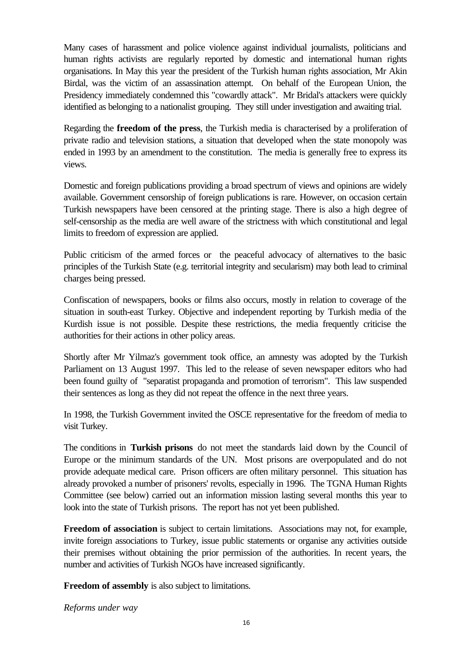Many cases of harassment and police violence against individual journalists, politicians and human rights activists are regularly reported by domestic and international human rights organisations. In May this year the president of the Turkish human rights association, Mr Akin Birdal, was the victim of an assassination attempt. On behalf of the European Union, the Presidency immediately condemned this "cowardly attack". Mr Bridal's attackers were quickly identified as belonging to a nationalist grouping. They still under investigation and awaiting trial.

Regarding the **freedom of the press**, the Turkish media is characterised by a proliferation of private radio and television stations, a situation that developed when the state monopoly was ended in 1993 by an amendment to the constitution. The media is generally free to express its views.

Domestic and foreign publications providing a broad spectrum of views and opinions are widely available. Government censorship of foreign publications is rare. However, on occasion certain Turkish newspapers have been censored at the printing stage. There is also a high degree of self-censorship as the media are well aware of the strictness with which constitutional and legal limits to freedom of expression are applied.

Public criticism of the armed forces or the peaceful advocacy of alternatives to the basic principles of the Turkish State (e.g. territorial integrity and secularism) may both lead to criminal charges being pressed.

Confiscation of newspapers, books or films also occurs, mostly in relation to coverage of the situation in south-east Turkey. Objective and independent reporting by Turkish media of the Kurdish issue is not possible. Despite these restrictions, the media frequently criticise the authorities for their actions in other policy areas.

Shortly after Mr Yilmaz's government took office, an amnesty was adopted by the Turkish Parliament on 13 August 1997. This led to the release of seven newspaper editors who had been found guilty of "separatist propaganda and promotion of terrorism". This law suspended their sentences as long as they did not repeat the offence in the next three years.

In 1998, the Turkish Government invited the OSCE representative for the freedom of media to visit Turkey.

The conditions in **Turkish prisons** do not meet the standards laid down by the Council of Europe or the minimum standards of the UN. Most prisons are overpopulated and do not provide adequate medical care. Prison officers are often military personnel. This situation has already provoked a number of prisoners' revolts, especially in 1996. The TGNA Human Rights Committee (see below) carried out an information mission lasting several months this year to look into the state of Turkish prisons. The report has not yet been published.

**Freedom of association** is subject to certain limitations. Associations may not, for example, invite foreign associations to Turkey, issue public statements or organise any activities outside their premises without obtaining the prior permission of the authorities. In recent years, the number and activities of Turkish NGOs have increased significantly.

**Freedom of assembly** is also subject to limitations.

*Reforms under way*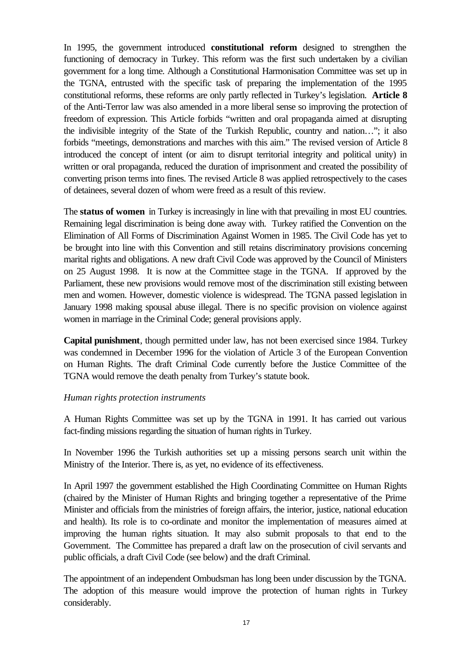In 1995, the government introduced **constitutional reform** designed to strengthen the functioning of democracy in Turkey. This reform was the first such undertaken by a civilian government for a long time. Although a Constitutional Harmonisation Committee was set up in the TGNA, entrusted with the specific task of preparing the implementation of the 1995 constitutional reforms, these reforms are only partly reflected in Turkey's legislation. **Article 8** of the Anti-Terror law was also amended in a more liberal sense so improving the protection of freedom of expression. This Article forbids "written and oral propaganda aimed at disrupting the indivisible integrity of the State of the Turkish Republic, country and nation…"; it also forbids "meetings, demonstrations and marches with this aim." The revised version of Article 8 introduced the concept of intent (or aim to disrupt territorial integrity and political unity) in written or oral propaganda, reduced the duration of imprisonment and created the possibility of converting prison terms into fines. The revised Article 8 was applied retrospectively to the cases of detainees, several dozen of whom were freed as a result of this review.

The **status of women** in Turkey is increasingly in line with that prevailing in most EU countries. Remaining legal discrimination is being done away with. Turkey ratified the Convention on the Elimination of All Forms of Discrimination Against Women in 1985. The Civil Code has yet to be brought into line with this Convention and still retains discriminatory provisions concerning marital rights and obligations. A new draft Civil Code was approved by the Council of Ministers on 25 August 1998. It is now at the Committee stage in the TGNA. If approved by the Parliament, these new provisions would remove most of the discrimination still existing between men and women. However, domestic violence is widespread. The TGNA passed legislation in January 1998 making spousal abuse illegal. There is no specific provision on violence against women in marriage in the Criminal Code; general provisions apply.

**Capital punishment**, though permitted under law, has not been exercised since 1984. Turkey was condemned in December 1996 for the violation of Article 3 of the European Convention on Human Rights. The draft Criminal Code currently before the Justice Committee of the TGNA would remove the death penalty from Turkey's statute book.

#### *Human rights protection instruments*

A Human Rights Committee was set up by the TGNA in 1991. It has carried out various fact-finding missions regarding the situation of human rights in Turkey.

In November 1996 the Turkish authorities set up a missing persons search unit within the Ministry of the Interior. There is, as yet, no evidence of its effectiveness.

In April 1997 the government established the High Coordinating Committee on Human Rights (chaired by the Minister of Human Rights and bringing together a representative of the Prime Minister and officials from the ministries of foreign affairs, the interior, justice, national education and health). Its role is to co-ordinate and monitor the implementation of measures aimed at improving the human rights situation. It may also submit proposals to that end to the Government. The Committee has prepared a draft law on the prosecution of civil servants and public officials, a draft Civil Code (see below) and the draft Criminal.

The appointment of an independent Ombudsman has long been under discussion by the TGNA. The adoption of this measure would improve the protection of human rights in Turkey considerably.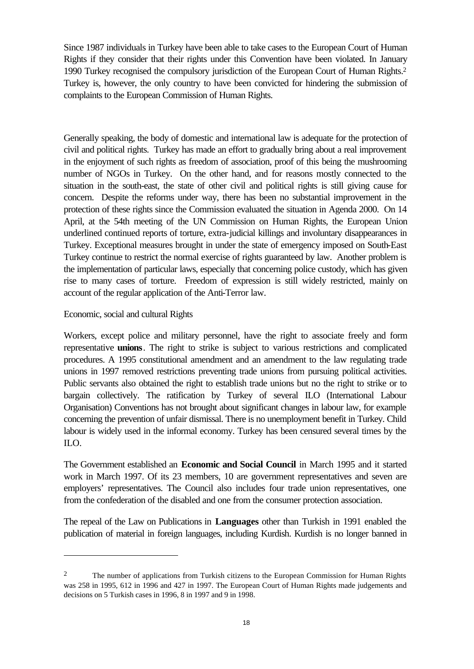Since 1987 individuals in Turkey have been able to take cases to the European Court of Human Rights if they consider that their rights under this Convention have been violated. In January 1990 Turkey recognised the compulsory jurisdiction of the European Court of Human Rights.<sup>2</sup> Turkey is, however, the only country to have been convicted for hindering the submission of complaints to the European Commission of Human Rights.

Generally speaking, the body of domestic and international law is adequate for the protection of civil and political rights. Turkey has made an effort to gradually bring about a real improvement in the enjoyment of such rights as freedom of association, proof of this being the mushrooming number of NGOs in Turkey. On the other hand, and for reasons mostly connected to the situation in the south-east, the state of other civil and political rights is still giving cause for concern. Despite the reforms under way, there has been no substantial improvement in the protection of these rights since the Commission evaluated the situation in Agenda 2000. On 14 April, at the 54th meeting of the UN Commission on Human Rights, the European Union underlined continued reports of torture, extra-judicial killings and involuntary disappearances in Turkey. Exceptional measures brought in under the state of emergency imposed on South-East Turkey continue to restrict the normal exercise of rights guaranteed by law. Another problem is the implementation of particular laws, especially that concerning police custody, which has given rise to many cases of torture. Freedom of expression is still widely restricted, mainly on account of the regular application of the Anti-Terror law.

#### Economic, social and cultural Rights

l

Workers, except police and military personnel, have the right to associate freely and form representative **unions**. The right to strike is subject to various restrictions and complicated procedures. A 1995 constitutional amendment and an amendment to the law regulating trade unions in 1997 removed restrictions preventing trade unions from pursuing political activities. Public servants also obtained the right to establish trade unions but no the right to strike or to bargain collectively. The ratification by Turkey of several ILO (International Labour Organisation) Conventions has not brought about significant changes in labour law, for example concerning the prevention of unfair dismissal. There is no unemployment benefit in Turkey. Child labour is widely used in the informal economy. Turkey has been censured several times by the ILO.

The Government established an **Economic and Social Council** in March 1995 and it started work in March 1997. Of its 23 members, 10 are government representatives and seven are employers' representatives. The Council also includes four trade union representatives, one from the confederation of the disabled and one from the consumer protection association.

The repeal of the Law on Publications in **Languages** other than Turkish in 1991 enabled the publication of material in foreign languages, including Kurdish. Kurdish is no longer banned in

<sup>&</sup>lt;sup>2</sup> The number of applications from Turkish citizens to the European Commission for Human Rights was 258 in 1995, 612 in 1996 and 427 in 1997. The European Court of Human Rights made judgements and decisions on 5 Turkish cases in 1996, 8 in 1997 and 9 in 1998.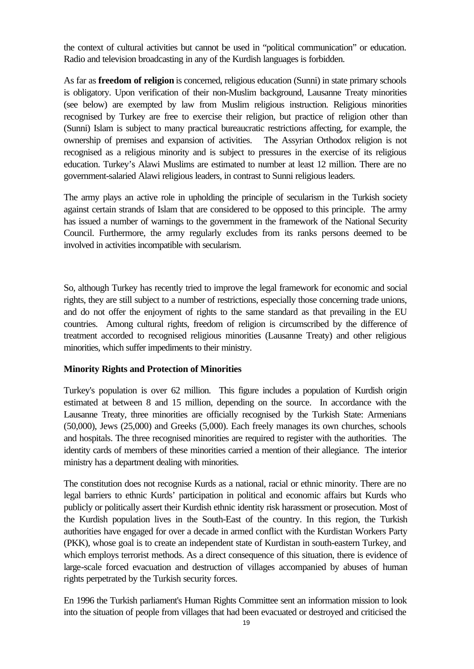the context of cultural activities but cannot be used in "political communication" or education. Radio and television broadcasting in any of the Kurdish languages is forbidden.

As far as **freedom of religion** is concerned, religious education (Sunni) in state primary schools is obligatory. Upon verification of their non-Muslim background, Lausanne Treaty minorities (see below) are exempted by law from Muslim religious instruction. Religious minorities recognised by Turkey are free to exercise their religion, but practice of religion other than (Sunni) Islam is subject to many practical bureaucratic restrictions affecting, for example, the ownership of premises and expansion of activities. The Assyrian Orthodox religion is not recognised as a religious minority and is subject to pressures in the exercise of its religious education. Turkey's Alawi Muslims are estimated to number at least 12 million. There are no government-salaried Alawi religious leaders, in contrast to Sunni religious leaders.

The army plays an active role in upholding the principle of secularism in the Turkish society against certain strands of Islam that are considered to be opposed to this principle. The army has issued a number of warnings to the government in the framework of the National Security Council. Furthermore, the army regularly excludes from its ranks persons deemed to be involved in activities incompatible with secularism.

So, although Turkey has recently tried to improve the legal framework for economic and social rights, they are still subject to a number of restrictions, especially those concerning trade unions, and do not offer the enjoyment of rights to the same standard as that prevailing in the EU countries. Among cultural rights, freedom of religion is circumscribed by the difference of treatment accorded to recognised religious minorities (Lausanne Treaty) and other religious minorities, which suffer impediments to their ministry.

#### **Minority Rights and Protection of Minorities**

Turkey's population is over 62 million. This figure includes a population of Kurdish origin estimated at between 8 and 15 million, depending on the source. In accordance with the Lausanne Treaty, three minorities are officially recognised by the Turkish State: Armenians (50,000), Jews (25,000) and Greeks (5,000). Each freely manages its own churches, schools and hospitals. The three recognised minorities are required to register with the authorities. The identity cards of members of these minorities carried a mention of their allegiance. The interior ministry has a department dealing with minorities.

The constitution does not recognise Kurds as a national, racial or ethnic minority. There are no legal barriers to ethnic Kurds' participation in political and economic affairs but Kurds who publicly or politically assert their Kurdish ethnic identity risk harassment or prosecution. Most of the Kurdish population lives in the South-East of the country. In this region, the Turkish authorities have engaged for over a decade in armed conflict with the Kurdistan Workers Party (PKK), whose goal is to create an independent state of Kurdistan in south-eastern Turkey, and which employs terrorist methods. As a direct consequence of this situation, there is evidence of large-scale forced evacuation and destruction of villages accompanied by abuses of human rights perpetrated by the Turkish security forces.

En 1996 the Turkish parliament's Human Rights Committee sent an information mission to look into the situation of people from villages that had been evacuated or destroyed and criticised the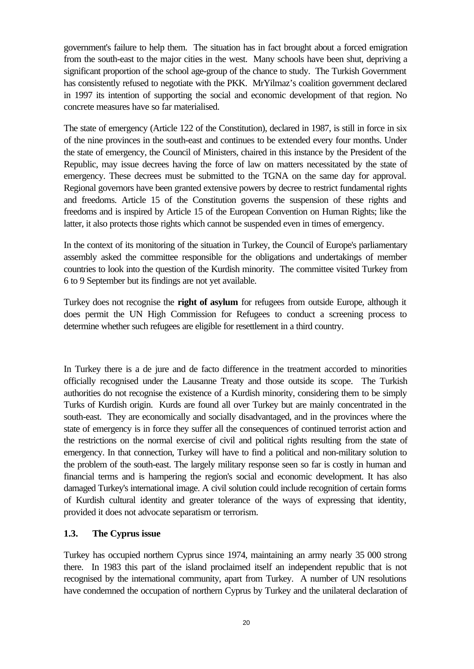government's failure to help them. The situation has in fact brought about a forced emigration from the south-east to the major cities in the west. Many schools have been shut, depriving a significant proportion of the school age-group of the chance to study. The Turkish Government has consistently refused to negotiate with the PKK. MrYilmaz's coalition government declared in 1997 its intention of supporting the social and economic development of that region. No concrete measures have so far materialised.

The state of emergency (Article 122 of the Constitution), declared in 1987, is still in force in six of the nine provinces in the south-east and continues to be extended every four months. Under the state of emergency, the Council of Ministers, chaired in this instance by the President of the Republic, may issue decrees having the force of law on matters necessitated by the state of emergency. These decrees must be submitted to the TGNA on the same day for approval. Regional governors have been granted extensive powers by decree to restrict fundamental rights and freedoms. Article 15 of the Constitution governs the suspension of these rights and freedoms and is inspired by Article 15 of the European Convention on Human Rights; like the latter, it also protects those rights which cannot be suspended even in times of emergency.

In the context of its monitoring of the situation in Turkey, the Council of Europe's parliamentary assembly asked the committee responsible for the obligations and undertakings of member countries to look into the question of the Kurdish minority. The committee visited Turkey from 6 to 9 September but its findings are not yet available.

Turkey does not recognise the **right of asylum** for refugees from outside Europe, although it does permit the UN High Commission for Refugees to conduct a screening process to determine whether such refugees are eligible for resettlement in a third country.

In Turkey there is a de jure and de facto difference in the treatment accorded to minorities officially recognised under the Lausanne Treaty and those outside its scope. The Turkish authorities do not recognise the existence of a Kurdish minority, considering them to be simply Turks of Kurdish origin. Kurds are found all over Turkey but are mainly concentrated in the south-east. They are economically and socially disadvantaged, and in the provinces where the state of emergency is in force they suffer all the consequences of continued terrorist action and the restrictions on the normal exercise of civil and political rights resulting from the state of emergency. In that connection, Turkey will have to find a political and non-military solution to the problem of the south-east. The largely military response seen so far is costly in human and financial terms and is hampering the region's social and economic development. It has also damaged Turkey's international image. A civil solution could include recognition of certain forms of Kurdish cultural identity and greater tolerance of the ways of expressing that identity, provided it does not advocate separatism or terrorism.

#### **1.3. The Cyprus issue**

Turkey has occupied northern Cyprus since 1974, maintaining an army nearly 35 000 strong there. In 1983 this part of the island proclaimed itself an independent republic that is not recognised by the international community, apart from Turkey. A number of UN resolutions have condemned the occupation of northern Cyprus by Turkey and the unilateral declaration of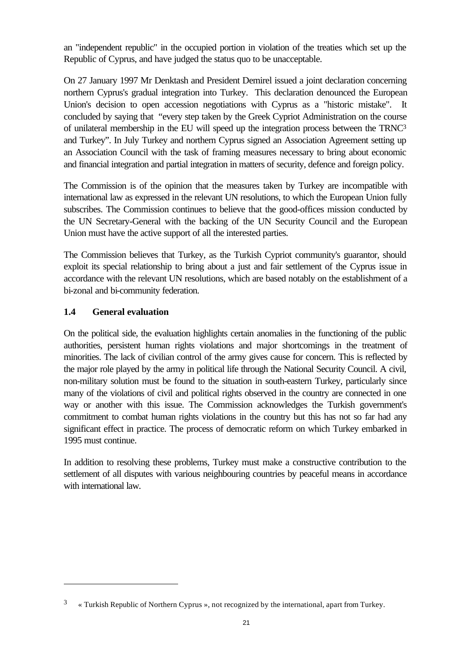an "independent republic" in the occupied portion in violation of the treaties which set up the Republic of Cyprus, and have judged the status quo to be unacceptable.

On 27 January 1997 Mr Denktash and President Demirel issued a joint declaration concerning northern Cyprus's gradual integration into Turkey. This declaration denounced the European Union's decision to open accession negotiations with Cyprus as a "historic mistake". It concluded by saying that "every step taken by the Greek Cypriot Administration on the course of unilateral membership in the EU will speed up the integration process between the TRNC<sup>3</sup> and Turkey". In July Turkey and northern Cyprus signed an Association Agreement setting up an Association Council with the task of framing measures necessary to bring about economic and financial integration and partial integration in matters of security, defence and foreign policy.

The Commission is of the opinion that the measures taken by Turkey are incompatible with international law as expressed in the relevant UN resolutions, to which the European Union fully subscribes. The Commission continues to believe that the good-offices mission conducted by the UN Secretary-General with the backing of the UN Security Council and the European Union must have the active support of all the interested parties.

The Commission believes that Turkey, as the Turkish Cypriot community's guarantor, should exploit its special relationship to bring about a just and fair settlement of the Cyprus issue in accordance with the relevant UN resolutions, which are based notably on the establishment of a bi-zonal and bi-community federation.

#### **1.4 General evaluation**

l

On the political side, the evaluation highlights certain anomalies in the functioning of the public authorities, persistent human rights violations and major shortcomings in the treatment of minorities. The lack of civilian control of the army gives cause for concern. This is reflected by the major role played by the army in political life through the National Security Council. A civil, non-military solution must be found to the situation in south-eastern Turkey, particularly since many of the violations of civil and political rights observed in the country are connected in one way or another with this issue. The Commission acknowledges the Turkish government's commitment to combat human rights violations in the country but this has not so far had any significant effect in practice. The process of democratic reform on which Turkey embarked in 1995 must continue.

In addition to resolving these problems, Turkey must make a constructive contribution to the settlement of all disputes with various neighbouring countries by peaceful means in accordance with international law.

<sup>3</sup> « Turkish Republic of Northern Cyprus », not recognized by the international, apart from Turkey.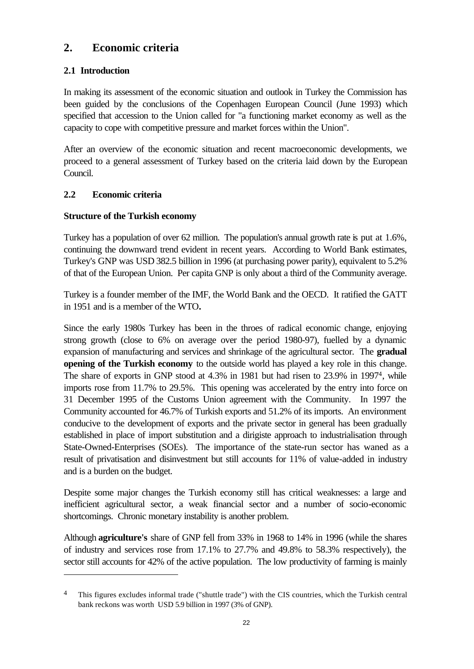# **2. Economic criteria**

# **2.1 Introduction**

In making its assessment of the economic situation and outlook in Turkey the Commission has been guided by the conclusions of the Copenhagen European Council (June 1993) which specified that accession to the Union called for "a functioning market economy as well as the capacity to cope with competitive pressure and market forces within the Union".

After an overview of the economic situation and recent macroeconomic developments, we proceed to a general assessment of Turkey based on the criteria laid down by the European Council.

# **2.2 Economic criteria**

l

#### **Structure of the Turkish economy**

Turkey has a population of over 62 million. The population's annual growth rate is put at 1.6%, continuing the downward trend evident in recent years. According to World Bank estimates, Turkey's GNP was USD 382.5 billion in 1996 (at purchasing power parity), equivalent to 5.2% of that of the European Union. Per capita GNP is only about a third of the Community average.

Turkey is a founder member of the IMF, the World Bank and the OECD. It ratified the GATT in 1951 and is a member of the WTO*.*

Since the early 1980s Turkey has been in the throes of radical economic change, enjoying strong growth (close to 6% on average over the period 1980-97), fuelled by a dynamic expansion of manufacturing and services and shrinkage of the agricultural sector. The **gradual opening of the Turkish economy** to the outside world has played a key role in this change. The share of exports in GNP stood at 4.3% in 1981 but had risen to 23.9% in 19974, while imports rose from 11.7% to 29.5%. This opening was accelerated by the entry into force on 31 December 1995 of the Customs Union agreement with the Community. In 1997 the Community accounted for 46.7% of Turkish exports and 51.2% of its imports. An environment conducive to the development of exports and the private sector in general has been gradually established in place of import substitution and a dirigiste approach to industrialisation through State-Owned-Enterprises (SOEs). The importance of the state-run sector has waned as a result of privatisation and disinvestment but still accounts for 11% of value-added in industry and is a burden on the budget.

Despite some major changes the Turkish economy still has critical weaknesses: a large and inefficient agricultural sector, a weak financial sector and a number of socio-economic shortcomings. Chronic monetary instability is another problem.

Although **agriculture's** share of GNP fell from 33% in 1968 to 14% in 1996 (while the shares of industry and services rose from 17.1% to 27.7% and 49.8% to 58.3% respectively), the sector still accounts for 42% of the active population. The low productivity of farming is mainly

<sup>4</sup> This figures excludes informal trade ("shuttle trade") with the CIS countries, which the Turkish central bank reckons was worth USD 5.9 billion in 1997 (3% of GNP).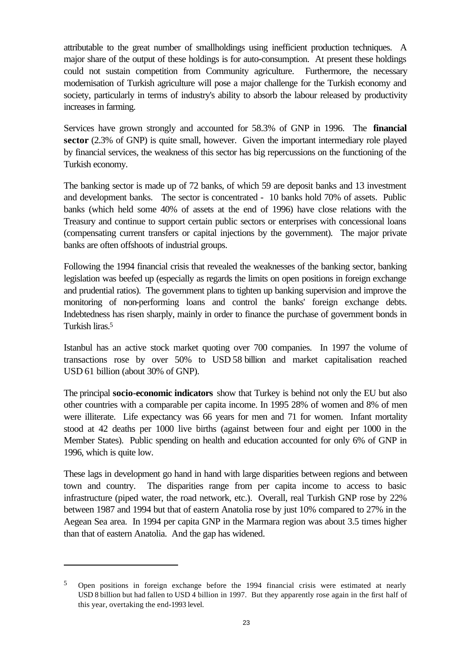attributable to the great number of smallholdings using inefficient production techniques. A major share of the output of these holdings is for auto-consumption. At present these holdings could not sustain competition from Community agriculture. Furthermore, the necessary modernisation of Turkish agriculture will pose a major challenge for the Turkish economy and society, particularly in terms of industry's ability to absorb the labour released by productivity increases in farming.

Services have grown strongly and accounted for 58.3% of GNP in 1996. The **financial sector** (2.3% of GNP) is quite small, however. Given the important intermediary role played by financial services, the weakness of this sector has big repercussions on the functioning of the Turkish economy.

The banking sector is made up of 72 banks, of which 59 are deposit banks and 13 investment and development banks. The sector is concentrated - 10 banks hold 70% of assets. Public banks (which held some 40% of assets at the end of 1996) have close relations with the Treasury and continue to support certain public sectors or enterprises with concessional loans (compensating current transfers or capital injections by the government). The major private banks are often offshoots of industrial groups.

Following the 1994 financial crisis that revealed the weaknesses of the banking sector, banking legislation was beefed up (especially as regards the limits on open positions in foreign exchange and prudential ratios). The government plans to tighten up banking supervision and improve the monitoring of non-performing loans and control the banks' foreign exchange debts. Indebtedness has risen sharply, mainly in order to finance the purchase of government bonds in Turkish liras.<sup>5</sup>

Istanbul has an active stock market quoting over 700 companies. In 1997 the volume of transactions rose by over 50% to USD 58 billion and market capitalisation reached USD 61 billion (about 30% of GNP).

The principal **socio-economic indicators** show that Turkey is behind not only the EU but also other countries with a comparable per capita income. In 1995 28% of women and 8% of men were illiterate. Life expectancy was 66 years for men and 71 for women. Infant mortality stood at 42 deaths per 1000 live births (against between four and eight per 1000 in the Member States). Public spending on health and education accounted for only 6% of GNP in 1996, which is quite low.

These lags in development go hand in hand with large disparities between regions and between town and country. The disparities range from per capita income to access to basic infrastructure (piped water, the road network, etc.). Overall, real Turkish GNP rose by 22% between 1987 and 1994 but that of eastern Anatolia rose by just 10% compared to 27% in the Aegean Sea area. In 1994 per capita GNP in the Marmara region was about 3.5 times higher than that of eastern Anatolia. And the gap has widened.

l

<sup>5</sup> Open positions in foreign exchange before the 1994 financial crisis were estimated at nearly USD 8 billion but had fallen to USD 4 billion in 1997. But they apparently rose again in the first half of this year, overtaking the end-1993 level.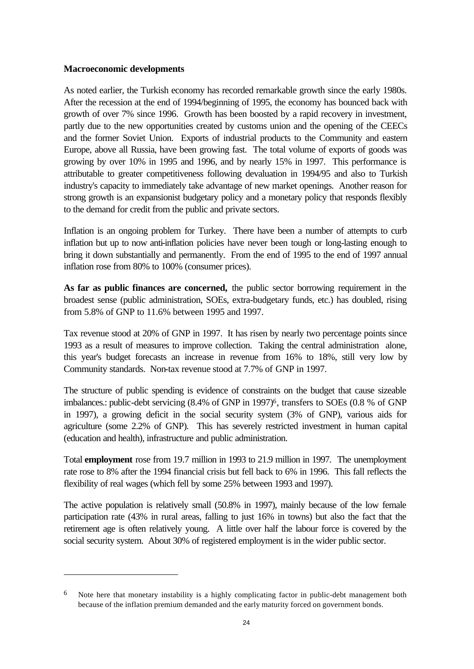#### **Macroeconomic developments**

l

As noted earlier, the Turkish economy has recorded remarkable growth since the early 1980s. After the recession at the end of 1994/beginning of 1995, the economy has bounced back with growth of over 7% since 1996. Growth has been boosted by a rapid recovery in investment, partly due to the new opportunities created by customs union and the opening of the CEECs and the former Soviet Union. Exports of industrial products to the Community and eastern Europe, above all Russia, have been growing fast. The total volume of exports of goods was growing by over 10% in 1995 and 1996, and by nearly 15% in 1997. This performance is attributable to greater competitiveness following devaluation in 1994/95 and also to Turkish industry's capacity to immediately take advantage of new market openings. Another reason for strong growth is an expansionist budgetary policy and a monetary policy that responds flexibly to the demand for credit from the public and private sectors.

Inflation is an ongoing problem for Turkey. There have been a number of attempts to curb inflation but up to now anti-inflation policies have never been tough or long-lasting enough to bring it down substantially and permanently. From the end of 1995 to the end of 1997 annual inflation rose from 80% to 100% (consumer prices).

**As far as public finances are concerned,** the public sector borrowing requirement in the broadest sense (public administration, SOEs, extra-budgetary funds, etc.) has doubled, rising from 5.8% of GNP to 11.6% between 1995 and 1997.

Tax revenue stood at 20% of GNP in 1997. It has risen by nearly two percentage points since 1993 as a result of measures to improve collection. Taking the central administration alone, this year's budget forecasts an increase in revenue from 16% to 18%, still very low by Community standards. Non-tax revenue stood at 7.7% of GNP in 1997.

The structure of public spending is evidence of constraints on the budget that cause sizeable imbalances.: public-debt servicing (8.4% of GNP in 1997)<sup>6</sup>, transfers to SOEs (0.8 % of GNP in 1997), a growing deficit in the social security system (3% of GNP), various aids for agriculture (some 2.2% of GNP). This has severely restricted investment in human capital (education and health), infrastructure and public administration.

Total **employment** rose from 19.7 million in 1993 to 21.9 million in 1997. The unemployment rate rose to 8% after the 1994 financial crisis but fell back to 6% in 1996. This fall reflects the flexibility of real wages (which fell by some 25% between 1993 and 1997).

The active population is relatively small (50.8% in 1997), mainly because of the low female participation rate (43% in rural areas, falling to just 16% in towns) but also the fact that the retirement age is often relatively young. A little over half the labour force is covered by the social security system. About 30% of registered employment is in the wider public sector.

Note here that monetary instability is a highly complicating factor in public-debt management both because of the inflation premium demanded and the early maturity forced on government bonds.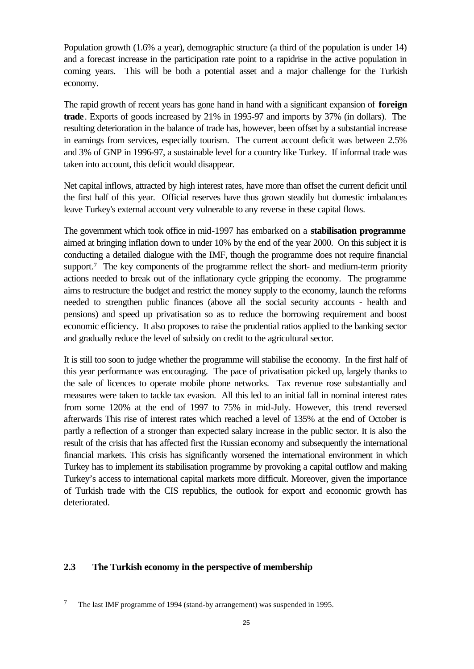Population growth (1.6% a year), demographic structure (a third of the population is under 14) and a forecast increase in the participation rate point to a rapidrise in the active population in coming years. This will be both a potential asset and a major challenge for the Turkish economy.

The rapid growth of recent years has gone hand in hand with a significant expansion of **foreign trade**. Exports of goods increased by 21% in 1995-97 and imports by 37% (in dollars). The resulting deterioration in the balance of trade has, however, been offset by a substantial increase in earnings from services, especially tourism. The current account deficit was between 2.5% and 3% of GNP in 1996-97, a sustainable level for a country like Turkey. If informal trade was taken into account, this deficit would disappear.

Net capital inflows, attracted by high interest rates, have more than offset the current deficit until the first half of this year. Official reserves have thus grown steadily but domestic imbalances leave Turkey's external account very vulnerable to any reverse in these capital flows.

The government which took office in mid-1997 has embarked on a **stabilisation programme** aimed at bringing inflation down to under 10% by the end of the year 2000. On this subject it is conducting a detailed dialogue with the IMF, though the programme does not require financial support.7 The key components of the programme reflect the short- and medium-term priority actions needed to break out of the inflationary cycle gripping the economy. The programme aims to restructure the budget and restrict the money supply to the economy, launch the reforms needed to strengthen public finances (above all the social security accounts - health and pensions) and speed up privatisation so as to reduce the borrowing requirement and boost economic efficiency. It also proposes to raise the prudential ratios applied to the banking sector and gradually reduce the level of subsidy on credit to the agricultural sector.

It is still too soon to judge whether the programme will stabilise the economy. In the first half of this year performance was encouraging. The pace of privatisation picked up, largely thanks to the sale of licences to operate mobile phone networks. Tax revenue rose substantially and measures were taken to tackle tax evasion. All this led to an initial fall in nominal interest rates from some 120% at the end of 1997 to 75% in mid-July. However, this trend reversed afterwards This rise of interest rates which reached a level of 135% at the end of October is partly a reflection of a stronger than expected salary increase in the public sector. It is also the result of the crisis that has affected first the Russian economy and subsequently the international financial markets. This crisis has significantly worsened the international environment in which Turkey has to implement its stabilisation programme by provoking a capital outflow and making Turkey's access to international capital markets more difficult. Moreover, given the importance of Turkish trade with the CIS republics, the outlook for export and economic growth has deteriorated.

#### **2.3 The Turkish economy in the perspective of membership**

l

<sup>7</sup> The last IMF programme of 1994 (stand-by arrangement) was suspended in 1995.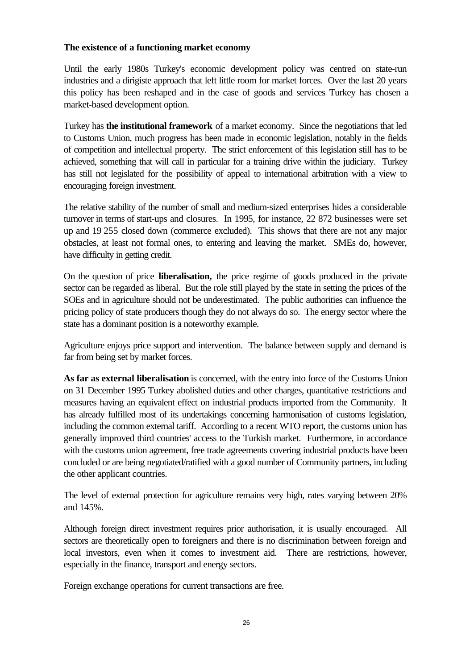#### **The existence of a functioning market economy**

Until the early 1980s Turkey's economic development policy was centred on state-run industries and a dirigiste approach that left little room for market forces. Over the last 20 years this policy has been reshaped and in the case of goods and services Turkey has chosen a market-based development option.

Turkey has **the institutional framework** of a market economy. Since the negotiations that led to Customs Union, much progress has been made in economic legislation, notably in the fields of competition and intellectual property. The strict enforcement of this legislation still has to be achieved, something that will call in particular for a training drive within the judiciary. Turkey has still not legislated for the possibility of appeal to international arbitration with a view to encouraging foreign investment.

The relative stability of the number of small and medium-sized enterprises hides a considerable turnover in terms of start-ups and closures. In 1995, for instance, 22 872 businesses were set up and 19 255 closed down (commerce excluded). This shows that there are not any major obstacles, at least not formal ones, to entering and leaving the market. SMEs do, however, have difficulty in getting credit.

On the question of price **liberalisation,** the price regime of goods produced in the private sector can be regarded as liberal. But the role still played by the state in setting the prices of the SOEs and in agriculture should not be underestimated. The public authorities can influence the pricing policy of state producers though they do not always do so. The energy sector where the state has a dominant position is a noteworthy example.

Agriculture enjoys price support and intervention. The balance between supply and demand is far from being set by market forces.

**As far as external liberalisation** is concerned, with the entry into force of the Customs Union on 31 December 1995 Turkey abolished duties and other charges, quantitative restrictions and measures having an equivalent effect on industrial products imported from the Community. It has already fulfilled most of its undertakings concerning harmonisation of customs legislation, including the common external tariff. According to a recent WTO report, the customs union has generally improved third countries' access to the Turkish market. Furthermore, in accordance with the customs union agreement, free trade agreements covering industrial products have been concluded or are being negotiated/ratified with a good number of Community partners, including the other applicant countries.

The level of external protection for agriculture remains very high, rates varying between 20% and 145%.

Although foreign direct investment requires prior authorisation, it is usually encouraged. All sectors are theoretically open to foreigners and there is no discrimination between foreign and local investors, even when it comes to investment aid. There are restrictions, however, especially in the finance, transport and energy sectors.

Foreign exchange operations for current transactions are free.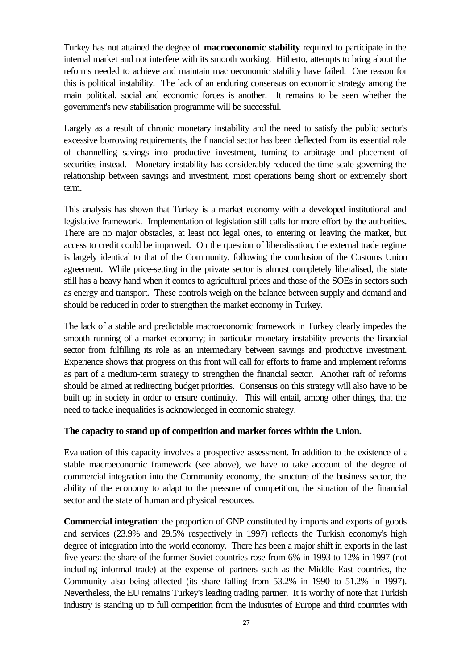Turkey has not attained the degree of **macroeconomic stability** required to participate in the internal market and not interfere with its smooth working. Hitherto, attempts to bring about the reforms needed to achieve and maintain macroeconomic stability have failed. One reason for this is political instability. The lack of an enduring consensus on economic strategy among the main political, social and economic forces is another. It remains to be seen whether the government's new stabilisation programme will be successful.

Largely as a result of chronic monetary instability and the need to satisfy the public sector's excessive borrowing requirements, the financial sector has been deflected from its essential role of channelling savings into productive investment, turning to arbitrage and placement of securities instead. Monetary instability has considerably reduced the time scale governing the relationship between savings and investment, most operations being short or extremely short term.

This analysis has shown that Turkey is a market economy with a developed institutional and legislative framework. Implementation of legislation still calls for more effort by the authorities. There are no major obstacles, at least not legal ones, to entering or leaving the market, but access to credit could be improved. On the question of liberalisation, the external trade regime is largely identical to that of the Community, following the conclusion of the Customs Union agreement. While price-setting in the private sector is almost completely liberalised, the state still has a heavy hand when it comes to agricultural prices and those of the SOEs in sectors such as energy and transport. These controls weigh on the balance between supply and demand and should be reduced in order to strengthen the market economy in Turkey.

The lack of a stable and predictable macroeconomic framework in Turkey clearly impedes the smooth running of a market economy; in particular monetary instability prevents the financial sector from fulfilling its role as an intermediary between savings and productive investment. Experience shows that progress on this front will call for efforts to frame and implement reforms as part of a medium-term strategy to strengthen the financial sector. Another raft of reforms should be aimed at redirecting budget priorities. Consensus on this strategy will also have to be built up in society in order to ensure continuity. This will entail, among other things, that the need to tackle inequalities is acknowledged in economic strategy.

#### **The capacity to stand up of competition and market forces within the Union.**

Evaluation of this capacity involves a prospective assessment. In addition to the existence of a stable macroeconomic framework (see above), we have to take account of the degree of commercial integration into the Community economy, the structure of the business sector, the ability of the economy to adapt to the pressure of competition, the situation of the financial sector and the state of human and physical resources.

**Commercial integration**: the proportion of GNP constituted by imports and exports of goods and services (23.9% and 29.5% respectively in 1997) reflects the Turkish economy's high degree of integration into the world economy. There has been a major shift in exports in the last five years: the share of the former Soviet countries rose from 6% in 1993 to 12% in 1997 (not including informal trade) at the expense of partners such as the Middle East countries, the Community also being affected (its share falling from 53.2% in 1990 to 51.2% in 1997). Nevertheless, the EU remains Turkey's leading trading partner. It is worthy of note that Turkish industry is standing up to full competition from the industries of Europe and third countries with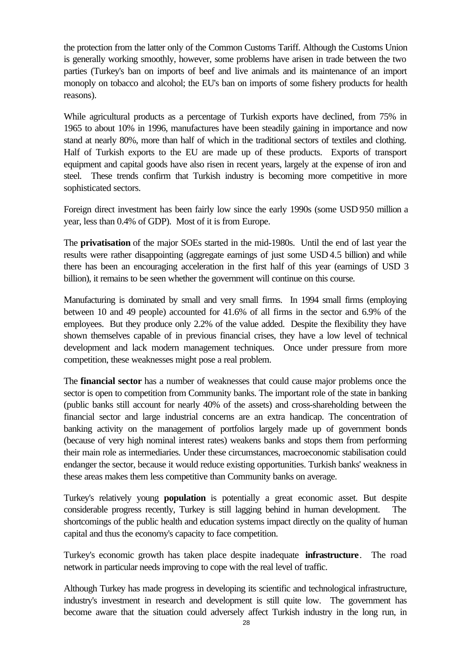the protection from the latter only of the Common Customs Tariff. Although the Customs Union is generally working smoothly, however, some problems have arisen in trade between the two parties (Turkey's ban on imports of beef and live animals and its maintenance of an import monoply on tobacco and alcohol; the EU's ban on imports of some fishery products for health reasons).

While agricultural products as a percentage of Turkish exports have declined, from 75% in 1965 to about 10% in 1996, manufactures have been steadily gaining in importance and now stand at nearly 80%, more than half of which in the traditional sectors of textiles and clothing. Half of Turkish exports to the EU are made up of these products. Exports of transport equipment and capital goods have also risen in recent years, largely at the expense of iron and steel. These trends confirm that Turkish industry is becoming more competitive in more sophisticated sectors.

Foreign direct investment has been fairly low since the early 1990s (some USD 950 million a year, less than 0.4% of GDP). Most of it is from Europe.

The **privatisation** of the major SOEs started in the mid-1980s. Until the end of last year the results were rather disappointing (aggregate earnings of just some USD 4.5 billion) and while there has been an encouraging acceleration in the first half of this year (earnings of USD 3 billion), it remains to be seen whether the government will continue on this course.

Manufacturing is dominated by small and very small firms. In 1994 small firms (employing between 10 and 49 people) accounted for 41.6% of all firms in the sector and 6.9% of the employees. But they produce only 2.2% of the value added. Despite the flexibility they have shown themselves capable of in previous financial crises, they have a low level of technical development and lack modern management techniques. Once under pressure from more competition, these weaknesses might pose a real problem.

The **financial sector** has a number of weaknesses that could cause major problems once the sector is open to competition from Community banks. The important role of the state in banking (public banks still account for nearly 40% of the assets) and cross-shareholding between the financial sector and large industrial concerns are an extra handicap. The concentration of banking activity on the management of portfolios largely made up of government bonds (because of very high nominal interest rates) weakens banks and stops them from performing their main role as intermediaries. Under these circumstances, macroeconomic stabilisation could endanger the sector, because it would reduce existing opportunities. Turkish banks' weakness in these areas makes them less competitive than Community banks on average.

Turkey's relatively young **population** is potentially a great economic asset. But despite considerable progress recently, Turkey is still lagging behind in human development. The shortcomings of the public health and education systems impact directly on the quality of human capital and thus the economy's capacity to face competition.

Turkey's economic growth has taken place despite inadequate **infrastructure**. The road network in particular needs improving to cope with the real level of traffic.

Although Turkey has made progress in developing its scientific and technological infrastructure, industry's investment in research and development is still quite low. The government has become aware that the situation could adversely affect Turkish industry in the long run, in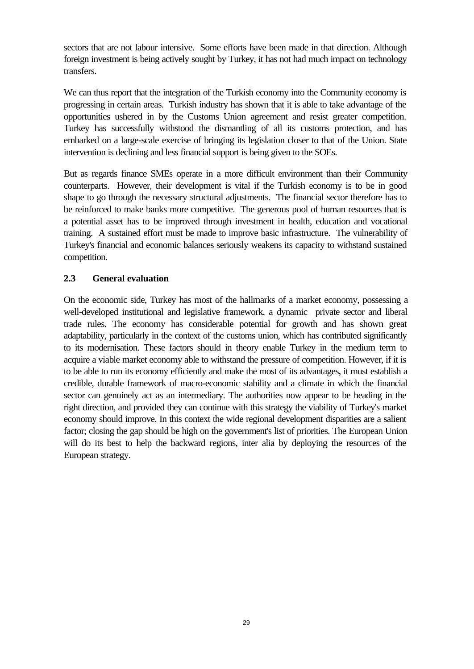sectors that are not labour intensive. Some efforts have been made in that direction. Although foreign investment is being actively sought by Turkey, it has not had much impact on technology transfers.

We can thus report that the integration of the Turkish economy into the Community economy is progressing in certain areas. Turkish industry has shown that it is able to take advantage of the opportunities ushered in by the Customs Union agreement and resist greater competition. Turkey has successfully withstood the dismantling of all its customs protection, and has embarked on a large-scale exercise of bringing its legislation closer to that of the Union. State intervention is declining and less financial support is being given to the SOEs.

But as regards finance SMEs operate in a more difficult environment than their Community counterparts. However, their development is vital if the Turkish economy is to be in good shape to go through the necessary structural adjustments. The financial sector therefore has to be reinforced to make banks more competitive. The generous pool of human resources that is a potential asset has to be improved through investment in health, education and vocational training. A sustained effort must be made to improve basic infrastructure. The vulnerability of Turkey's financial and economic balances seriously weakens its capacity to withstand sustained competition.

#### **2.3 General evaluation**

On the economic side, Turkey has most of the hallmarks of a market economy, possessing a well-developed institutional and legislative framework, a dynamic private sector and liberal trade rules. The economy has considerable potential for growth and has shown great adaptability, particularly in the context of the customs union, which has contributed significantly to its modernisation. These factors should in theory enable Turkey in the medium term to acquire a viable market economy able to withstand the pressure of competition. However, if it is to be able to run its economy efficiently and make the most of its advantages, it must establish a credible, durable framework of macro-economic stability and a climate in which the financial sector can genuinely act as an intermediary. The authorities now appear to be heading in the right direction, and provided they can continue with this strategy the viability of Turkey's market economy should improve. In this context the wide regional development disparities are a salient factor; closing the gap should be high on the government's list of priorities. The European Union will do its best to help the backward regions, inter alia by deploying the resources of the European strategy.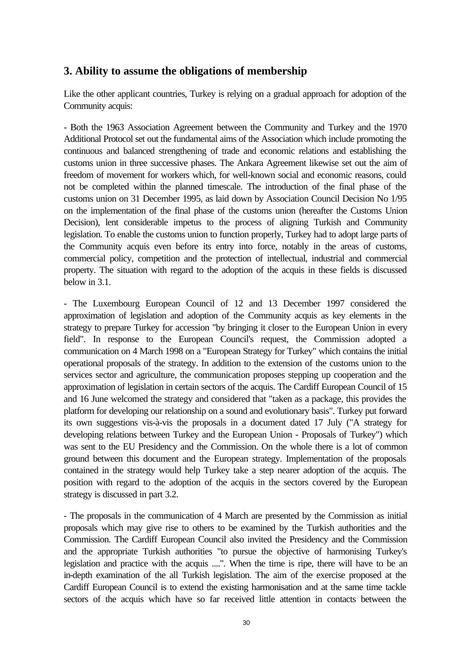# **3. Ability to assume the obligations of membership**

Like the other applicant countries, Turkey is relying on a gradual approach for adoption of the Community acquis:

- Both the 1963 Association Agreement between the Community and Turkey and the 1970 Additional Protocol set out the fundamental aims of the Association which include promoting the continuous and balanced strengthening of trade and economic relations and establishing the customs union in three successive phases. The Ankara Agreement likewise set out the aim of freedom of movement for workers which, for well-known social and economic reasons, could not be completed within the planned timescale. The introduction of the final phase of the customs union on 31 December 1995, as laid down by Association Council Decision No 1/95 on the implementation of the final phase of the customs union (hereafter the Customs Union Decision), lent considerable impetus to the process of aligning Turkish and Community legislation. To enable the customs union to function properly, Turkey had to adopt large parts of the Community acquis even before its entry into force, notably in the areas of customs, commercial policy, competition and the protection of intellectual, industrial and commercial property. The situation with regard to the adoption of the acquis in these fields is discussed below in 3.1.

- The Luxembourg European Council of 12 and 13 December 1997 considered the approximation of legislation and adoption of the Community acquis as key elements in the strategy to prepare Turkey for accession "by bringing it closer to the European Union in every field". In response to the European Council's request, the Commission adopted a communication on 4 March 1998 on a "European Strategy for Turkey" which contains the initial operational proposals of the strategy. In addition to the extension of the customs union to the services sector and agriculture, the communication proposes stepping up cooperation and the approximation of legislation in certain sectors of the acquis. The Cardiff European Council of 15 and 16 June welcomed the strategy and considered that "taken as a package, this provides the platform for developing our relationship on a sound and evolutionary basis". Turkey put forward its own suggestions vis-à-vis the proposals in a document dated 17 July ("A strategy for developing relations between Turkey and the European Union - Proposals of Turkey") which was sent to the EU Presidency and the Commission. On the whole there is a lot of common ground between this document and the European strategy. Implementation of the proposals contained in the strategy would help Turkey take a step nearer adoption of the acquis. The position with regard to the adoption of the acquis in the sectors covered by the European strategy is discussed in part 3.2.

- The proposals in the communication of 4 March are presented by the Commission as initial proposals which may give rise to others to be examined by the Turkish authorities and the Commission. The Cardiff European Council also invited the Presidency and the Commission and the appropriate Turkish authorities "to pursue the objective of harmonising Turkey's legislation and practice with the acquis ....". When the time is ripe, there will have to be an in-depth examination of the all Turkish legislation. The aim of the exercise proposed at the Cardiff European Council is to extend the existing harmonisation and at the same time tackle sectors of the acquis which have so far received little attention in contacts between the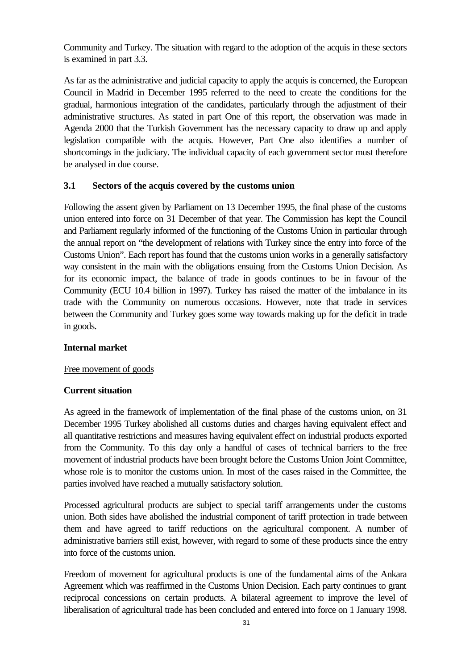Community and Turkey. The situation with regard to the adoption of the acquis in these sectors is examined in part 3.3.

As far as the administrative and judicial capacity to apply the acquis is concerned, the European Council in Madrid in December 1995 referred to the need to create the conditions for the gradual, harmonious integration of the candidates, particularly through the adjustment of their administrative structures. As stated in part One of this report, the observation was made in Agenda 2000 that the Turkish Government has the necessary capacity to draw up and apply legislation compatible with the acquis. However, Part One also identifies a number of shortcomings in the judiciary. The individual capacity of each government sector must therefore be analysed in due course.

#### **3.1 Sectors of the acquis covered by the customs union**

Following the assent given by Parliament on 13 December 1995, the final phase of the customs union entered into force on 31 December of that year. The Commission has kept the Council and Parliament regularly informed of the functioning of the Customs Union in particular through the annual report on "the development of relations with Turkey since the entry into force of the Customs Union". Each report has found that the customs union works in a generally satisfactory way consistent in the main with the obligations ensuing from the Customs Union Decision. As for its economic impact, the balance of trade in goods continues to be in favour of the Community (ECU 10.4 billion in 1997). Turkey has raised the matter of the imbalance in its trade with the Community on numerous occasions. However, note that trade in services between the Community and Turkey goes some way towards making up for the deficit in trade in goods.

#### **Internal market**

#### Free movement of goods

#### **Current situation**

As agreed in the framework of implementation of the final phase of the customs union, on 31 December 1995 Turkey abolished all customs duties and charges having equivalent effect and all quantitative restrictions and measures having equivalent effect on industrial products exported from the Community. To this day only a handful of cases of technical barriers to the free movement of industrial products have been brought before the Customs Union Joint Committee, whose role is to monitor the customs union. In most of the cases raised in the Committee, the parties involved have reached a mutually satisfactory solution.

Processed agricultural products are subject to special tariff arrangements under the customs union. Both sides have abolished the industrial component of tariff protection in trade between them and have agreed to tariff reductions on the agricultural component. A number of administrative barriers still exist, however, with regard to some of these products since the entry into force of the customs union.

Freedom of movement for agricultural products is one of the fundamental aims of the Ankara Agreement which was reaffirmed in the Customs Union Decision. Each party continues to grant reciprocal concessions on certain products. A bilateral agreement to improve the level of liberalisation of agricultural trade has been concluded and entered into force on 1 January 1998.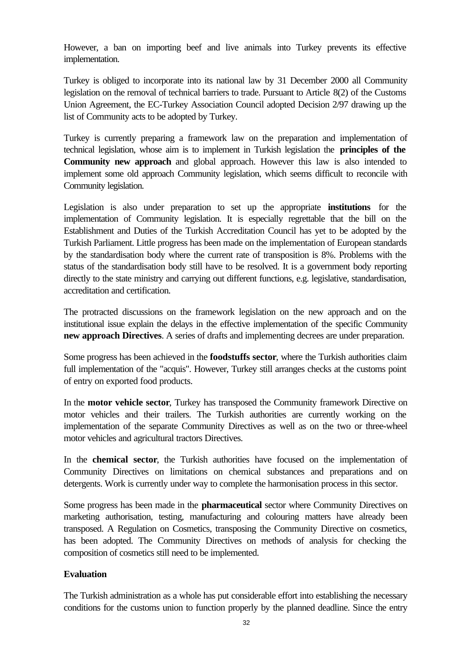However, a ban on importing beef and live animals into Turkey prevents its effective implementation.

Turkey is obliged to incorporate into its national law by 31 December 2000 all Community legislation on the removal of technical barriers to trade. Pursuant to Article 8(2) of the Customs Union Agreement, the EC-Turkey Association Council adopted Decision 2/97 drawing up the list of Community acts to be adopted by Turkey.

Turkey is currently preparing a framework law on the preparation and implementation of technical legislation, whose aim is to implement in Turkish legislation the **principles of the Community new approach** and global approach. However this law is also intended to implement some old approach Community legislation, which seems difficult to reconcile with Community legislation.

Legislation is also under preparation to set up the appropriate **institutions** for the implementation of Community legislation. It is especially regrettable that the bill on the Establishment and Duties of the Turkish Accreditation Council has yet to be adopted by the Turkish Parliament. Little progress has been made on the implementation of European standards by the standardisation body where the current rate of transposition is 8%. Problems with the status of the standardisation body still have to be resolved. It is a government body reporting directly to the state ministry and carrying out different functions, e.g. legislative, standardisation, accreditation and certification.

The protracted discussions on the framework legislation on the new approach and on the institutional issue explain the delays in the effective implementation of the specific Community **new approach Directives**. A series of drafts and implementing decrees are under preparation.

Some progress has been achieved in the **foodstuffs sector**, where the Turkish authorities claim full implementation of the "acquis". However, Turkey still arranges checks at the customs point of entry on exported food products.

In the **motor vehicle sector**, Turkey has transposed the Community framework Directive on motor vehicles and their trailers. The Turkish authorities are currently working on the implementation of the separate Community Directives as well as on the two or three-wheel motor vehicles and agricultural tractors Directives.

In the **chemical sector**, the Turkish authorities have focused on the implementation of Community Directives on limitations on chemical substances and preparations and on detergents. Work is currently under way to complete the harmonisation process in this sector.

Some progress has been made in the **pharmaceutical** sector where Community Directives on marketing authorisation, testing, manufacturing and colouring matters have already been transposed. A Regulation on Cosmetics, transposing the Community Directive on cosmetics, has been adopted. The Community Directives on methods of analysis for checking the composition of cosmetics still need to be implemented.

#### **Evaluation**

The Turkish administration as a whole has put considerable effort into establishing the necessary conditions for the customs union to function properly by the planned deadline. Since the entry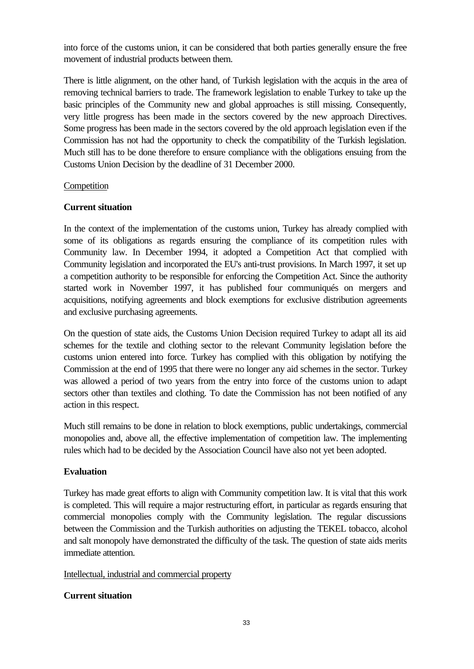into force of the customs union, it can be considered that both parties generally ensure the free movement of industrial products between them.

There is little alignment, on the other hand, of Turkish legislation with the acquis in the area of removing technical barriers to trade. The framework legislation to enable Turkey to take up the basic principles of the Community new and global approaches is still missing. Consequently, very little progress has been made in the sectors covered by the new approach Directives. Some progress has been made in the sectors covered by the old approach legislation even if the Commission has not had the opportunity to check the compatibility of the Turkish legislation. Much still has to be done therefore to ensure compliance with the obligations ensuing from the Customs Union Decision by the deadline of 31 December 2000.

#### Competition

#### **Current situation**

In the context of the implementation of the customs union, Turkey has already complied with some of its obligations as regards ensuring the compliance of its competition rules with Community law. In December 1994, it adopted a Competition Act that complied with Community legislation and incorporated the EU's anti-trust provisions. In March 1997, it set up a competition authority to be responsible for enforcing the Competition Act. Since the authority started work in November 1997, it has published four communiqués on mergers and acquisitions, notifying agreements and block exemptions for exclusive distribution agreements and exclusive purchasing agreements.

On the question of state aids, the Customs Union Decision required Turkey to adapt all its aid schemes for the textile and clothing sector to the relevant Community legislation before the customs union entered into force. Turkey has complied with this obligation by notifying the Commission at the end of 1995 that there were no longer any aid schemes in the sector. Turkey was allowed a period of two years from the entry into force of the customs union to adapt sectors other than textiles and clothing. To date the Commission has not been notified of any action in this respect.

Much still remains to be done in relation to block exemptions, public undertakings, commercial monopolies and, above all, the effective implementation of competition law. The implementing rules which had to be decided by the Association Council have also not yet been adopted.

#### **Evaluation**

Turkey has made great efforts to align with Community competition law. It is vital that this work is completed. This will require a major restructuring effort, in particular as regards ensuring that commercial monopolies comply with the Community legislation. The regular discussions between the Commission and the Turkish authorities on adjusting the TEKEL tobacco, alcohol and salt monopoly have demonstrated the difficulty of the task. The question of state aids merits immediate attention.

#### Intellectual, industrial and commercial property

#### **Current situation**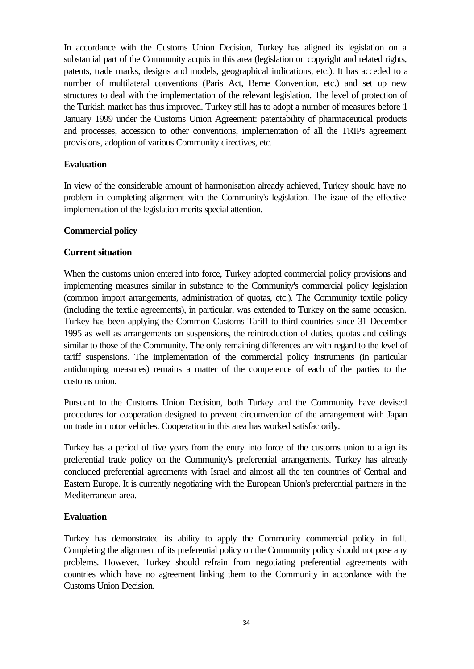In accordance with the Customs Union Decision, Turkey has aligned its legislation on a substantial part of the Community acquis in this area (legislation on copyright and related rights, patents, trade marks, designs and models, geographical indications, etc.). It has acceded to a number of multilateral conventions (Paris Act, Berne Convention, etc.) and set up new structures to deal with the implementation of the relevant legislation. The level of protection of the Turkish market has thus improved. Turkey still has to adopt a number of measures before 1 January 1999 under the Customs Union Agreement: patentability of pharmaceutical products and processes, accession to other conventions, implementation of all the TRIPs agreement provisions, adoption of various Community directives, etc.

#### **Evaluation**

In view of the considerable amount of harmonisation already achieved, Turkey should have no problem in completing alignment with the Community's legislation. The issue of the effective implementation of the legislation merits special attention.

#### **Commercial policy**

#### **Current situation**

When the customs union entered into force, Turkey adopted commercial policy provisions and implementing measures similar in substance to the Community's commercial policy legislation (common import arrangements, administration of quotas, etc.). The Community textile policy (including the textile agreements), in particular, was extended to Turkey on the same occasion. Turkey has been applying the Common Customs Tariff to third countries since 31 December 1995 as well as arrangements on suspensions, the reintroduction of duties, quotas and ceilings similar to those of the Community. The only remaining differences are with regard to the level of tariff suspensions. The implementation of the commercial policy instruments (in particular antidumping measures) remains a matter of the competence of each of the parties to the customs union.

Pursuant to the Customs Union Decision, both Turkey and the Community have devised procedures for cooperation designed to prevent circumvention of the arrangement with Japan on trade in motor vehicles. Cooperation in this area has worked satisfactorily.

Turkey has a period of five years from the entry into force of the customs union to align its preferential trade policy on the Community's preferential arrangements. Turkey has already concluded preferential agreements with Israel and almost all the ten countries of Central and Eastern Europe. It is currently negotiating with the European Union's preferential partners in the Mediterranean area.

#### **Evaluation**

Turkey has demonstrated its ability to apply the Community commercial policy in full. Completing the alignment of its preferential policy on the Community policy should not pose any problems. However, Turkey should refrain from negotiating preferential agreements with countries which have no agreement linking them to the Community in accordance with the Customs Union Decision.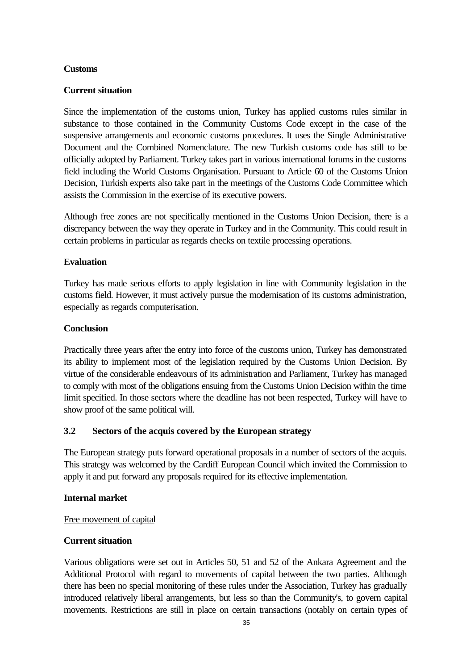#### **Customs**

#### **Current situation**

Since the implementation of the customs union, Turkey has applied customs rules similar in substance to those contained in the Community Customs Code except in the case of the suspensive arrangements and economic customs procedures. It uses the Single Administrative Document and the Combined Nomenclature. The new Turkish customs code has still to be officially adopted by Parliament. Turkey takes part in various international forums in the customs field including the World Customs Organisation. Pursuant to Article 60 of the Customs Union Decision, Turkish experts also take part in the meetings of the Customs Code Committee which assists the Commission in the exercise of its executive powers.

Although free zones are not specifically mentioned in the Customs Union Decision, there is a discrepancy between the way they operate in Turkey and in the Community. This could result in certain problems in particular as regards checks on textile processing operations.

#### **Evaluation**

Turkey has made serious efforts to apply legislation in line with Community legislation in the customs field. However, it must actively pursue the modernisation of its customs administration, especially as regards computerisation.

#### **Conclusion**

Practically three years after the entry into force of the customs union, Turkey has demonstrated its ability to implement most of the legislation required by the Customs Union Decision. By virtue of the considerable endeavours of its administration and Parliament, Turkey has managed to comply with most of the obligations ensuing from the Customs Union Decision within the time limit specified. In those sectors where the deadline has not been respected, Turkey will have to show proof of the same political will.

#### **3.2 Sectors of the acquis covered by the European strategy**

The European strategy puts forward operational proposals in a number of sectors of the acquis. This strategy was welcomed by the Cardiff European Council which invited the Commission to apply it and put forward any proposals required for its effective implementation.

#### **Internal market**

#### Free movement of capital

#### **Current situation**

Various obligations were set out in Articles 50, 51 and 52 of the Ankara Agreement and the Additional Protocol with regard to movements of capital between the two parties. Although there has been no special monitoring of these rules under the Association, Turkey has gradually introduced relatively liberal arrangements, but less so than the Community's, to govern capital movements. Restrictions are still in place on certain transactions (notably on certain types of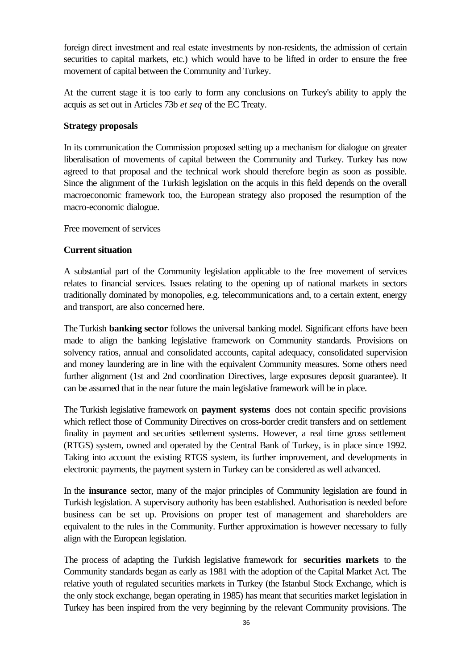foreign direct investment and real estate investments by non-residents, the admission of certain securities to capital markets, etc.) which would have to be lifted in order to ensure the free movement of capital between the Community and Turkey.

At the current stage it is too early to form any conclusions on Turkey's ability to apply the acquis as set out in Articles 73b *et seq* of the EC Treaty.

#### **Strategy proposals**

In its communication the Commission proposed setting up a mechanism for dialogue on greater liberalisation of movements of capital between the Community and Turkey. Turkey has now agreed to that proposal and the technical work should therefore begin as soon as possible. Since the alignment of the Turkish legislation on the acquis in this field depends on the overall macroeconomic framework too, the European strategy also proposed the resumption of the macro-economic dialogue.

#### Free movement of services

#### **Current situation**

A substantial part of the Community legislation applicable to the free movement of services relates to financial services. Issues relating to the opening up of national markets in sectors traditionally dominated by monopolies, e.g. telecommunications and, to a certain extent, energy and transport, are also concerned here.

The Turkish **banking sector** follows the universal banking model. Significant efforts have been made to align the banking legislative framework on Community standards. Provisions on solvency ratios, annual and consolidated accounts, capital adequacy, consolidated supervision and money laundering are in line with the equivalent Community measures. Some others need further alignment (1st and 2nd coordination Directives, large exposures deposit guarantee). It can be assumed that in the near future the main legislative framework will be in place.

The Turkish legislative framework on **payment systems** does not contain specific provisions which reflect those of Community Directives on cross-border credit transfers and on settlement finality in payment and securities settlement systems. However, a real time gross settlement (RTGS) system, owned and operated by the Central Bank of Turkey, is in place since 1992. Taking into account the existing RTGS system, its further improvement, and developments in electronic payments, the payment system in Turkey can be considered as well advanced.

In the **insurance** sector, many of the major principles of Community legislation are found in Turkish legislation. A supervisory authority has been established. Authorisation is needed before business can be set up. Provisions on proper test of management and shareholders are equivalent to the rules in the Community. Further approximation is however necessary to fully align with the European legislation.

The process of adapting the Turkish legislative framework for **securities markets** to the Community standards began as early as 1981 with the adoption of the Capital Market Act. The relative youth of regulated securities markets in Turkey (the Istanbul Stock Exchange, which is the only stock exchange, began operating in 1985) has meant that securities market legislation in Turkey has been inspired from the very beginning by the relevant Community provisions. The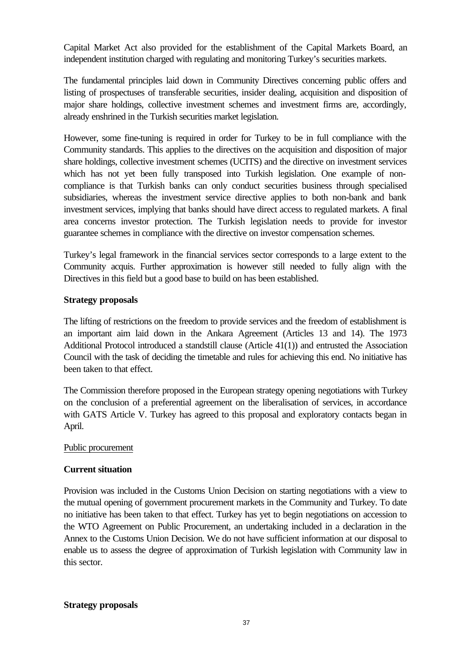Capital Market Act also provided for the establishment of the Capital Markets Board, an independent institution charged with regulating and monitoring Turkey's securities markets.

The fundamental principles laid down in Community Directives concerning public offers and listing of prospectuses of transferable securities, insider dealing, acquisition and disposition of major share holdings, collective investment schemes and investment firms are, accordingly, already enshrined in the Turkish securities market legislation.

However, some fine-tuning is required in order for Turkey to be in full compliance with the Community standards. This applies to the directives on the acquisition and disposition of major share holdings, collective investment schemes (UCITS) and the directive on investment services which has not yet been fully transposed into Turkish legislation. One example of noncompliance is that Turkish banks can only conduct securities business through specialised subsidiaries, whereas the investment service directive applies to both non-bank and bank investment services, implying that banks should have direct access to regulated markets. A final area concerns investor protection. The Turkish legislation needs to provide for investor guarantee schemes in compliance with the directive on investor compensation schemes.

Turkey's legal framework in the financial services sector corresponds to a large extent to the Community acquis. Further approximation is however still needed to fully align with the Directives in this field but a good base to build on has been established.

#### **Strategy proposals**

The lifting of restrictions on the freedom to provide services and the freedom of establishment is an important aim laid down in the Ankara Agreement (Articles 13 and 14). The 1973 Additional Protocol introduced a standstill clause (Article 41(1)) and entrusted the Association Council with the task of deciding the timetable and rules for achieving this end. No initiative has been taken to that effect.

The Commission therefore proposed in the European strategy opening negotiations with Turkey on the conclusion of a preferential agreement on the liberalisation of services, in accordance with GATS Article V. Turkey has agreed to this proposal and exploratory contacts began in April.

#### Public procurement

#### **Current situation**

Provision was included in the Customs Union Decision on starting negotiations with a view to the mutual opening of government procurement markets in the Community and Turkey. To date no initiative has been taken to that effect. Turkey has yet to begin negotiations on accession to the WTO Agreement on Public Procurement, an undertaking included in a declaration in the Annex to the Customs Union Decision. We do not have sufficient information at our disposal to enable us to assess the degree of approximation of Turkish legislation with Community law in this sector.

#### **Strategy proposals**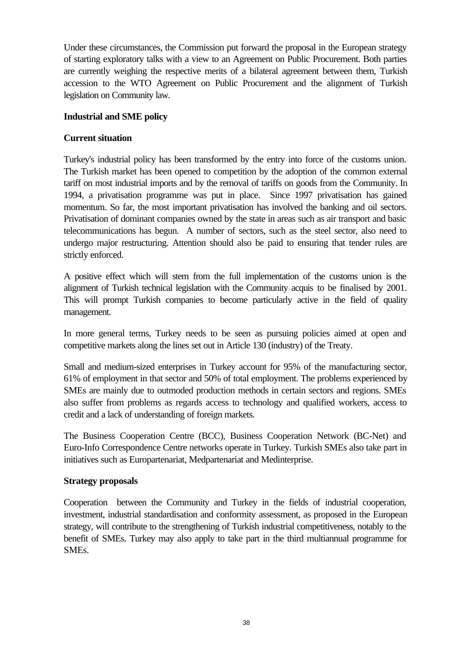Under these circumstances, the Commission put forward the proposal in the European strategy of starting exploratory talks with a view to an Agreement on Public Procurement. Both parties are currently weighing the respective merits of a bilateral agreement between them, Turkish accession to the WTO Agreement on Public Procurement and the alignment of Turkish legislation on Community law.

#### **Industrial and SME policy**

#### **Current situation**

Turkey's industrial policy has been transformed by the entry into force of the customs union. The Turkish market has been opened to competition by the adoption of the common external tariff on most industrial imports and by the removal of tariffs on goods from the Community. In 1994, a privatisation programme was put in place. Since 1997 privatisation has gained momentum. So far, the most important privatisation has involved the banking and oil sectors. Privatisation of dominant companies owned by the state in areas such as air transport and basic telecommunications has begun. A number of sectors, such as the steel sector, also need to undergo major restructuring. Attention should also be paid to ensuring that tender rules are strictly enforced.

A positive effect which will stem from the full implementation of the customs union is the alignment of Turkish technical legislation with the Community acquis to be finalised by 2001. This will prompt Turkish companies to become particularly active in the field of quality management.

In more general terms, Turkey needs to be seen as pursuing policies aimed at open and competitive markets along the lines set out in Article 130 (industry) of the Treaty.

Small and medium-sized enterprises in Turkey account for 95% of the manufacturing sector, 61% of employment in that sector and 50% of total employment. The problems experienced by SMEs are mainly due to outmoded production methods in certain sectors and regions. SMEs also suffer from problems as regards access to technology and qualified workers, access to credit and a lack of understanding of foreign markets.

The Business Cooperation Centre (BCC), Business Cooperation Network (BC-Net) and Euro-Info Correspondence Centre networks operate in Turkey. Turkish SMEs also take part in initiatives such as Europartenariat, Medpartenariat and Medinterprise.

#### **Strategy proposals**

Cooperation between the Community and Turkey in the fields of industrial cooperation, investment, industrial standardisation and conformity assessment, as proposed in the European strategy, will contribute to the strengthening of Turkish industrial competitiveness, notably to the benefit of SMEs. Turkey may also apply to take part in the third multiannual programme for SMEs.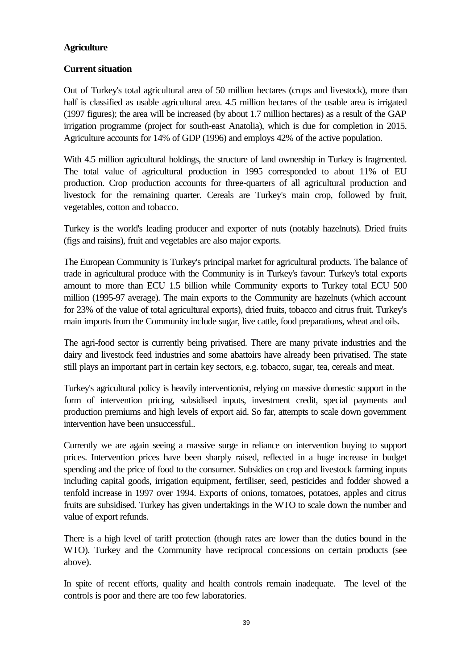#### **Agriculture**

#### **Current situation**

Out of Turkey's total agricultural area of 50 million hectares (crops and livestock), more than half is classified as usable agricultural area. 4.5 million hectares of the usable area is irrigated (1997 figures); the area will be increased (by about 1.7 million hectares) as a result of the GAP irrigation programme (project for south-east Anatolia), which is due for completion in 2015. Agriculture accounts for 14% of GDP (1996) and employs 42% of the active population.

With 4.5 million agricultural holdings, the structure of land ownership in Turkey is fragmented. The total value of agricultural production in 1995 corresponded to about 11% of EU production. Crop production accounts for three-quarters of all agricultural production and livestock for the remaining quarter. Cereals are Turkey's main crop, followed by fruit, vegetables, cotton and tobacco.

Turkey is the world's leading producer and exporter of nuts (notably hazelnuts). Dried fruits (figs and raisins), fruit and vegetables are also major exports.

The European Community is Turkey's principal market for agricultural products. The balance of trade in agricultural produce with the Community is in Turkey's favour: Turkey's total exports amount to more than ECU 1.5 billion while Community exports to Turkey total ECU 500 million (1995-97 average). The main exports to the Community are hazelnuts (which account for 23% of the value of total agricultural exports), dried fruits, tobacco and citrus fruit. Turkey's main imports from the Community include sugar, live cattle, food preparations, wheat and oils.

The agri-food sector is currently being privatised. There are many private industries and the dairy and livestock feed industries and some abattoirs have already been privatised. The state still plays an important part in certain key sectors, e.g. tobacco, sugar, tea, cereals and meat.

Turkey's agricultural policy is heavily interventionist, relying on massive domestic support in the form of intervention pricing, subsidised inputs, investment credit, special payments and production premiums and high levels of export aid. So far, attempts to scale down government intervention have been unsuccessful..

Currently we are again seeing a massive surge in reliance on intervention buying to support prices. Intervention prices have been sharply raised, reflected in a huge increase in budget spending and the price of food to the consumer. Subsidies on crop and livestock farming inputs including capital goods, irrigation equipment, fertiliser, seed, pesticides and fodder showed a tenfold increase in 1997 over 1994. Exports of onions, tomatoes, potatoes, apples and citrus fruits are subsidised. Turkey has given undertakings in the WTO to scale down the number and value of export refunds.

There is a high level of tariff protection (though rates are lower than the duties bound in the WTO). Turkey and the Community have reciprocal concessions on certain products (see above).

In spite of recent efforts, quality and health controls remain inadequate. The level of the controls is poor and there are too few laboratories.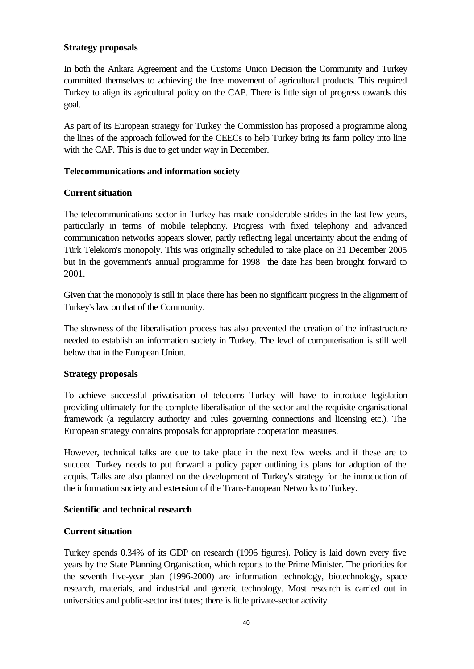#### **Strategy proposals**

In both the Ankara Agreement and the Customs Union Decision the Community and Turkey committed themselves to achieving the free movement of agricultural products. This required Turkey to align its agricultural policy on the CAP. There is little sign of progress towards this goal.

As part of its European strategy for Turkey the Commission has proposed a programme along the lines of the approach followed for the CEECs to help Turkey bring its farm policy into line with the CAP. This is due to get under way in December.

#### **Telecommunications and information society**

#### **Current situation**

The telecommunications sector in Turkey has made considerable strides in the last few years, particularly in terms of mobile telephony. Progress with fixed telephony and advanced communication networks appears slower, partly reflecting legal uncertainty about the ending of Türk Telekom's monopoly. This was originally scheduled to take place on 31 December 2005 but in the government's annual programme for 1998 the date has been brought forward to 2001.

Given that the monopoly is still in place there has been no significant progress in the alignment of Turkey's law on that of the Community.

The slowness of the liberalisation process has also prevented the creation of the infrastructure needed to establish an information society in Turkey. The level of computerisation is still well below that in the European Union.

#### **Strategy proposals**

To achieve successful privatisation of telecoms Turkey will have to introduce legislation providing ultimately for the complete liberalisation of the sector and the requisite organisational framework (a regulatory authority and rules governing connections and licensing etc.). The European strategy contains proposals for appropriate cooperation measures.

However, technical talks are due to take place in the next few weeks and if these are to succeed Turkey needs to put forward a policy paper outlining its plans for adoption of the acquis. Talks are also planned on the development of Turkey's strategy for the introduction of the information society and extension of the Trans-European Networks to Turkey.

#### **Scientific and technical research**

#### **Current situation**

Turkey spends 0.34% of its GDP on research (1996 figures). Policy is laid down every five years by the State Planning Organisation, which reports to the Prime Minister. The priorities for the seventh five-year plan (1996-2000) are information technology, biotechnology, space research, materials, and industrial and generic technology. Most research is carried out in universities and public-sector institutes; there is little private-sector activity.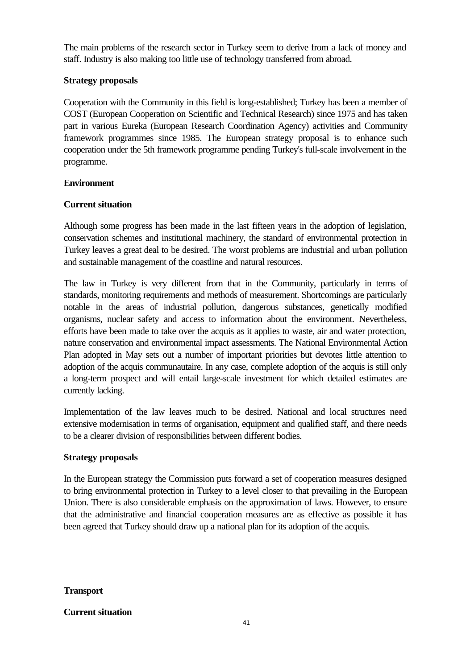The main problems of the research sector in Turkey seem to derive from a lack of money and staff. Industry is also making too little use of technology transferred from abroad.

#### **Strategy proposals**

Cooperation with the Community in this field is long-established; Turkey has been a member of COST (European Cooperation on Scientific and Technical Research) since 1975 and has taken part in various Eureka (European Research Coordination Agency) activities and Community framework programmes since 1985. The European strategy proposal is to enhance such cooperation under the 5th framework programme pending Turkey's full-scale involvement in the programme.

#### **Environment**

#### **Current situation**

Although some progress has been made in the last fifteen years in the adoption of legislation, conservation schemes and institutional machinery, the standard of environmental protection in Turkey leaves a great deal to be desired. The worst problems are industrial and urban pollution and sustainable management of the coastline and natural resources.

The law in Turkey is very different from that in the Community, particularly in terms of standards, monitoring requirements and methods of measurement. Shortcomings are particularly notable in the areas of industrial pollution, dangerous substances, genetically modified organisms, nuclear safety and access to information about the environment. Nevertheless, efforts have been made to take over the acquis as it applies to waste, air and water protection, nature conservation and environmental impact assessments. The National Environmental Action Plan adopted in May sets out a number of important priorities but devotes little attention to adoption of the acquis communautaire. In any case, complete adoption of the acquis is still only a long-term prospect and will entail large-scale investment for which detailed estimates are currently lacking.

Implementation of the law leaves much to be desired. National and local structures need extensive modernisation in terms of organisation, equipment and qualified staff, and there needs to be a clearer division of responsibilities between different bodies.

#### **Strategy proposals**

In the European strategy the Commission puts forward a set of cooperation measures designed to bring environmental protection in Turkey to a level closer to that prevailing in the European Union. There is also considerable emphasis on the approximation of laws. However, to ensure that the administrative and financial cooperation measures are as effective as possible it has been agreed that Turkey should draw up a national plan for its adoption of the acquis.

#### **Transport**

#### **Current situation**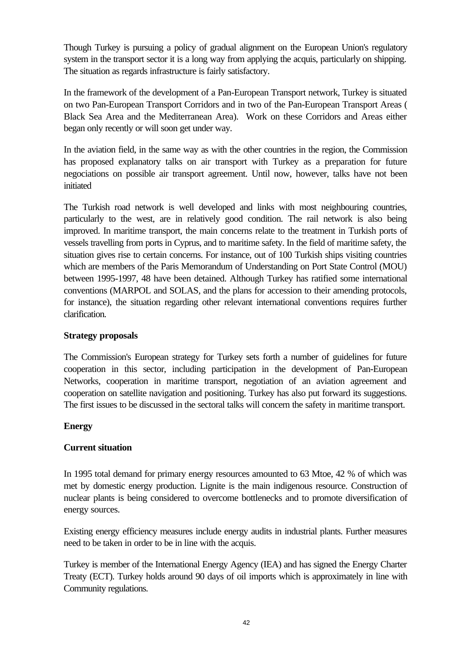Though Turkey is pursuing a policy of gradual alignment on the European Union's regulatory system in the transport sector it is a long way from applying the acquis, particularly on shipping. The situation as regards infrastructure is fairly satisfactory.

In the framework of the development of a Pan-European Transport network, Turkey is situated on two Pan-European Transport Corridors and in two of the Pan-European Transport Areas ( Black Sea Area and the Mediterranean Area). Work on these Corridors and Areas either began only recently or will soon get under way.

In the aviation field, in the same way as with the other countries in the region, the Commission has proposed explanatory talks on air transport with Turkey as a preparation for future negociations on possible air transport agreement. Until now, however, talks have not been initiated

The Turkish road network is well developed and links with most neighbouring countries, particularly to the west, are in relatively good condition. The rail network is also being improved. In maritime transport, the main concerns relate to the treatment in Turkish ports of vessels travelling from ports in Cyprus, and to maritime safety. In the field of maritime safety, the situation gives rise to certain concerns. For instance, out of 100 Turkish ships visiting countries which are members of the Paris Memorandum of Understanding on Port State Control (MOU) between 1995-1997, 48 have been detained. Although Turkey has ratified some international conventions (MARPOL and SOLAS, and the plans for accession to their amending protocols, for instance), the situation regarding other relevant international conventions requires further clarification.

#### **Strategy proposals**

The Commission's European strategy for Turkey sets forth a number of guidelines for future cooperation in this sector, including participation in the development of Pan-European Networks, cooperation in maritime transport, negotiation of an aviation agreement and cooperation on satellite navigation and positioning. Turkey has also put forward its suggestions. The first issues to be discussed in the sectoral talks will concern the safety in maritime transport.

#### **Energy**

#### **Current situation**

In 1995 total demand for primary energy resources amounted to 63 Mtoe, 42 % of which was met by domestic energy production. Lignite is the main indigenous resource. Construction of nuclear plants is being considered to overcome bottlenecks and to promote diversification of energy sources.

Existing energy efficiency measures include energy audits in industrial plants. Further measures need to be taken in order to be in line with the acquis.

Turkey is member of the International Energy Agency (IEA) and has signed the Energy Charter Treaty (ECT). Turkey holds around 90 days of oil imports which is approximately in line with Community regulations.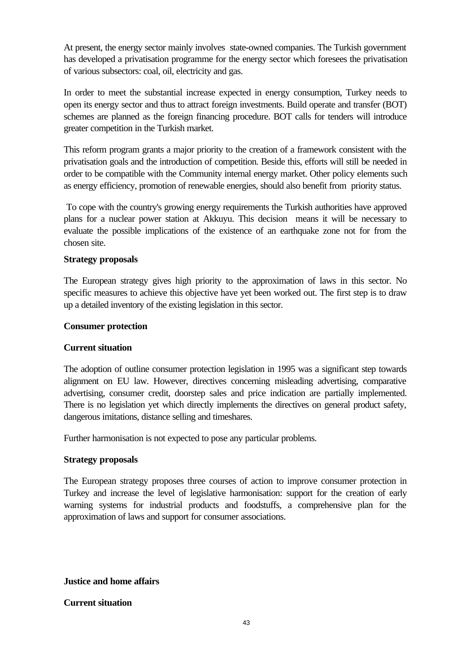At present, the energy sector mainly involves state-owned companies. The Turkish government has developed a privatisation programme for the energy sector which foresees the privatisation of various subsectors: coal, oil, electricity and gas.

In order to meet the substantial increase expected in energy consumption, Turkey needs to open its energy sector and thus to attract foreign investments. Build operate and transfer (BOT) schemes are planned as the foreign financing procedure. BOT calls for tenders will introduce greater competition in the Turkish market.

This reform program grants a major priority to the creation of a framework consistent with the privatisation goals and the introduction of competition. Beside this, efforts will still be needed in order to be compatible with the Community internal energy market. Other policy elements such as energy efficiency, promotion of renewable energies, should also benefit from priority status.

 To cope with the country's growing energy requirements the Turkish authorities have approved plans for a nuclear power station at Akkuyu. This decision means it will be necessary to evaluate the possible implications of the existence of an earthquake zone not for from the chosen site.

#### **Strategy proposals**

The European strategy gives high priority to the approximation of laws in this sector. No specific measures to achieve this objective have yet been worked out. The first step is to draw up a detailed inventory of the existing legislation in this sector.

#### **Consumer protection**

#### **Current situation**

The adoption of outline consumer protection legislation in 1995 was a significant step towards alignment on EU law. However, directives concerning misleading advertising, comparative advertising, consumer credit, doorstep sales and price indication are partially implemented. There is no legislation yet which directly implements the directives on general product safety, dangerous imitations, distance selling and timeshares.

Further harmonisation is not expected to pose any particular problems.

#### **Strategy proposals**

The European strategy proposes three courses of action to improve consumer protection in Turkey and increase the level of legislative harmonisation: support for the creation of early warning systems for industrial products and foodstuffs, a comprehensive plan for the approximation of laws and support for consumer associations.

#### **Justice and home affairs**

#### **Current situation**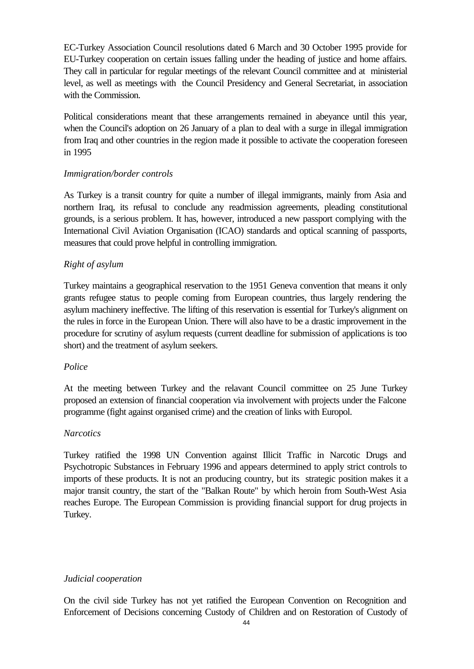EC-Turkey Association Council resolutions dated 6 March and 30 October 1995 provide for EU-Turkey cooperation on certain issues falling under the heading of justice and home affairs. They call in particular for regular meetings of the relevant Council committee and at ministerial level, as well as meetings with the Council Presidency and General Secretariat, in association with the Commission.

Political considerations meant that these arrangements remained in abeyance until this year, when the Council's adoption on 26 January of a plan to deal with a surge in illegal immigration from Iraq and other countries in the region made it possible to activate the cooperation foreseen in 1995

#### *Immigration/border controls*

As Turkey is a transit country for quite a number of illegal immigrants, mainly from Asia and northern Iraq, its refusal to conclude any readmission agreements, pleading constitutional grounds, is a serious problem. It has, however, introduced a new passport complying with the International Civil Aviation Organisation (ICAO) standards and optical scanning of passports, measures that could prove helpful in controlling immigration.

#### *Right of asylum*

Turkey maintains a geographical reservation to the 1951 Geneva convention that means it only grants refugee status to people coming from European countries, thus largely rendering the asylum machinery ineffective. The lifting of this reservation is essential for Turkey's alignment on the rules in force in the European Union. There will also have to be a drastic improvement in the procedure for scrutiny of asylum requests (current deadline for submission of applications is too short) and the treatment of asylum seekers.

#### *Police*

At the meeting between Turkey and the relavant Council committee on 25 June Turkey proposed an extension of financial cooperation via involvement with projects under the Falcone programme (fight against organised crime) and the creation of links with Europol.

#### *Narcotics*

Turkey ratified the 1998 UN Convention against Illicit Traffic in Narcotic Drugs and Psychotropic Substances in February 1996 and appears determined to apply strict controls to imports of these products. It is not an producing country, but its strategic position makes it a major transit country, the start of the "Balkan Route" by which heroin from South-West Asia reaches Europe. The European Commission is providing financial support for drug projects in Turkey.

#### *Judicial cooperation*

On the civil side Turkey has not yet ratified the European Convention on Recognition and Enforcement of Decisions concerning Custody of Children and on Restoration of Custody of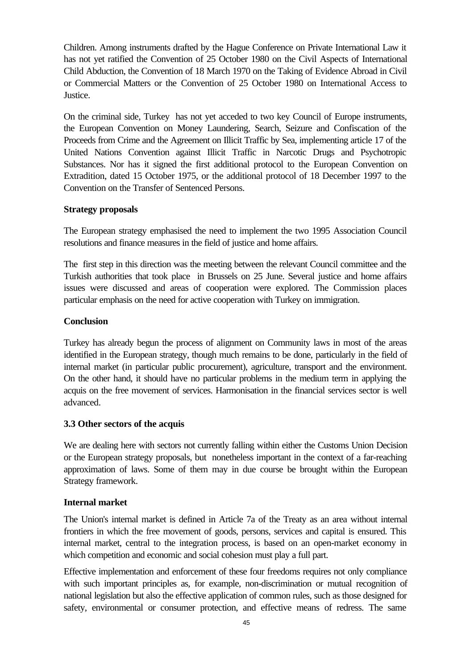Children. Among instruments drafted by the Hague Conference on Private International Law it has not yet ratified the Convention of 25 October 1980 on the Civil Aspects of International Child Abduction, the Convention of 18 March 1970 on the Taking of Evidence Abroad in Civil or Commercial Matters or the Convention of 25 October 1980 on International Access to Justice.

On the criminal side, Turkey has not yet acceded to two key Council of Europe instruments, the European Convention on Money Laundering, Search, Seizure and Confiscation of the Proceeds from Crime and the Agreement on Illicit Traffic by Sea, implementing article 17 of the United Nations Convention against Illicit Traffic in Narcotic Drugs and Psychotropic Substances. Nor has it signed the first additional protocol to the European Convention on Extradition, dated 15 October 1975, or the additional protocol of 18 December 1997 to the Convention on the Transfer of Sentenced Persons.

#### **Strategy proposals**

The European strategy emphasised the need to implement the two 1995 Association Council resolutions and finance measures in the field of justice and home affairs.

The first step in this direction was the meeting between the relevant Council committee and the Turkish authorities that took place in Brussels on 25 June. Several justice and home affairs issues were discussed and areas of cooperation were explored. The Commission places particular emphasis on the need for active cooperation with Turkey on immigration.

#### **Conclusion**

Turkey has already begun the process of alignment on Community laws in most of the areas identified in the European strategy, though much remains to be done, particularly in the field of internal market (in particular public procurement), agriculture, transport and the environment. On the other hand, it should have no particular problems in the medium term in applying the acquis on the free movement of services. Harmonisation in the financial services sector is well advanced.

#### **3.3 Other sectors of the acquis**

We are dealing here with sectors not currently falling within either the Customs Union Decision or the European strategy proposals, but nonetheless important in the context of a far-reaching approximation of laws. Some of them may in due course be brought within the European Strategy framework.

#### **Internal market**

The Union's internal market is defined in Article 7a of the Treaty as an area without internal frontiers in which the free movement of goods, persons, services and capital is ensured. This internal market, central to the integration process, is based on an open-market economy in which competition and economic and social cohesion must play a full part.

Effective implementation and enforcement of these four freedoms requires not only compliance with such important principles as, for example, non-discrimination or mutual recognition of national legislation but also the effective application of common rules, such as those designed for safety, environmental or consumer protection, and effective means of redress. The same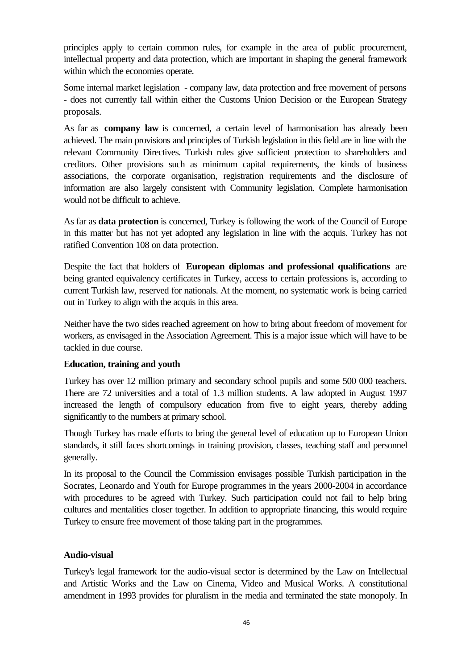principles apply to certain common rules, for example in the area of public procurement, intellectual property and data protection, which are important in shaping the general framework within which the economies operate.

Some internal market legislation - company law, data protection and free movement of persons - does not currently fall within either the Customs Union Decision or the European Strategy proposals.

As far as **company law** is concerned, a certain level of harmonisation has already been achieved. The main provisions and principles of Turkish legislation in this field are in line with the relevant Community Directives. Turkish rules give sufficient protection to shareholders and creditors. Other provisions such as minimum capital requirements, the kinds of business associations, the corporate organisation, registration requirements and the disclosure of information are also largely consistent with Community legislation. Complete harmonisation would not be difficult to achieve.

As far as **data protection** is concerned, Turkey is following the work of the Council of Europe in this matter but has not yet adopted any legislation in line with the acquis. Turkey has not ratified Convention 108 on data protection.

Despite the fact that holders of **European diplomas and professional qualifications** are being granted equivalency certificates in Turkey, access to certain professions is, according to current Turkish law, reserved for nationals. At the moment, no systematic work is being carried out in Turkey to align with the acquis in this area.

Neither have the two sides reached agreement on how to bring about freedom of movement for workers, as envisaged in the Association Agreement. This is a major issue which will have to be tackled in due course.

#### **Education, training and youth**

Turkey has over 12 million primary and secondary school pupils and some 500 000 teachers. There are 72 universities and a total of 1.3 million students. A law adopted in August 1997 increased the length of compulsory education from five to eight years, thereby adding significantly to the numbers at primary school.

Though Turkey has made efforts to bring the general level of education up to European Union standards, it still faces shortcomings in training provision, classes, teaching staff and personnel generally.

In its proposal to the Council the Commission envisages possible Turkish participation in the Socrates, Leonardo and Youth for Europe programmes in the years 2000-2004 in accordance with procedures to be agreed with Turkey. Such participation could not fail to help bring cultures and mentalities closer together. In addition to appropriate financing, this would require Turkey to ensure free movement of those taking part in the programmes.

#### **Audio-visual**

Turkey's legal framework for the audio-visual sector is determined by the Law on Intellectual and Artistic Works and the Law on Cinema, Video and Musical Works. A constitutional amendment in 1993 provides for pluralism in the media and terminated the state monopoly. In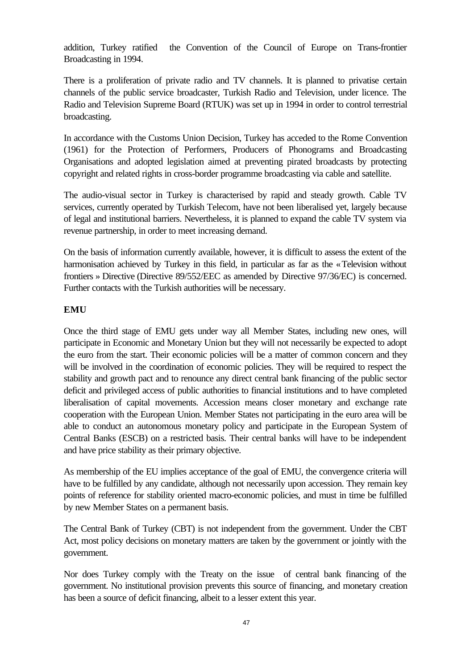addition, Turkey ratified the Convention of the Council of Europe on Trans-frontier Broadcasting in 1994.

There is a proliferation of private radio and TV channels. It is planned to privatise certain channels of the public service broadcaster, Turkish Radio and Television, under licence. The Radio and Television Supreme Board (RTUK) was set up in 1994 in order to control terrestrial broadcasting.

In accordance with the Customs Union Decision, Turkey has acceded to the Rome Convention (1961) for the Protection of Performers, Producers of Phonograms and Broadcasting Organisations and adopted legislation aimed at preventing pirated broadcasts by protecting copyright and related rights in cross-border programme broadcasting via cable and satellite.

The audio-visual sector in Turkey is characterised by rapid and steady growth. Cable TV services, currently operated by Turkish Telecom, have not been liberalised yet, largely because of legal and institutional barriers. Nevertheless, it is planned to expand the cable TV system via revenue partnership, in order to meet increasing demand.

On the basis of information currently available, however, it is difficult to assess the extent of the harmonisation achieved by Turkey in this field, in particular as far as the « Television without frontiers » Directive (Directive 89/552/EEC as amended by Directive 97/36/EC) is concerned. Further contacts with the Turkish authorities will be necessary.

#### **EMU**

Once the third stage of EMU gets under way all Member States, including new ones, will participate in Economic and Monetary Union but they will not necessarily be expected to adopt the euro from the start. Their economic policies will be a matter of common concern and they will be involved in the coordination of economic policies. They will be required to respect the stability and growth pact and to renounce any direct central bank financing of the public sector deficit and privileged access of public authorities to financial institutions and to have completed liberalisation of capital movements. Accession means closer monetary and exchange rate cooperation with the European Union. Member States not participating in the euro area will be able to conduct an autonomous monetary policy and participate in the European System of Central Banks (ESCB) on a restricted basis. Their central banks will have to be independent and have price stability as their primary objective.

As membership of the EU implies acceptance of the goal of EMU, the convergence criteria will have to be fulfilled by any candidate, although not necessarily upon accession. They remain key points of reference for stability oriented macro-economic policies, and must in time be fulfilled by new Member States on a permanent basis.

The Central Bank of Turkey (CBT) is not independent from the government. Under the CBT Act, most policy decisions on monetary matters are taken by the government or jointly with the government.

Nor does Turkey comply with the Treaty on the issue of central bank financing of the government. No institutional provision prevents this source of financing, and monetary creation has been a source of deficit financing, albeit to a lesser extent this year.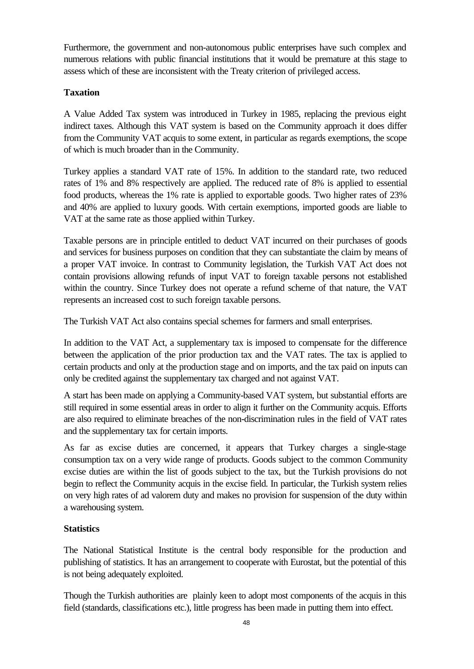Furthermore, the government and non-autonomous public enterprises have such complex and numerous relations with public financial institutions that it would be premature at this stage to assess which of these are inconsistent with the Treaty criterion of privileged access.

#### **Taxation**

A Value Added Tax system was introduced in Turkey in 1985, replacing the previous eight indirect taxes. Although this VAT system is based on the Community approach it does differ from the Community VAT acquis to some extent, in particular as regards exemptions, the scope of which is much broader than in the Community.

Turkey applies a standard VAT rate of 15%. In addition to the standard rate, two reduced rates of 1% and 8% respectively are applied. The reduced rate of 8% is applied to essential food products, whereas the 1% rate is applied to exportable goods. Two higher rates of 23% and 40% are applied to luxury goods. With certain exemptions, imported goods are liable to VAT at the same rate as those applied within Turkey.

Taxable persons are in principle entitled to deduct VAT incurred on their purchases of goods and services for business purposes on condition that they can substantiate the claim by means of a proper VAT invoice. In contrast to Community legislation, the Turkish VAT Act does not contain provisions allowing refunds of input VAT to foreign taxable persons not established within the country. Since Turkey does not operate a refund scheme of that nature, the VAT represents an increased cost to such foreign taxable persons.

The Turkish VAT Act also contains special schemes for farmers and small enterprises.

In addition to the VAT Act, a supplementary tax is imposed to compensate for the difference between the application of the prior production tax and the VAT rates. The tax is applied to certain products and only at the production stage and on imports, and the tax paid on inputs can only be credited against the supplementary tax charged and not against VAT.

A start has been made on applying a Community-based VAT system, but substantial efforts are still required in some essential areas in order to align it further on the Community acquis. Efforts are also required to eliminate breaches of the non-discrimination rules in the field of VAT rates and the supplementary tax for certain imports.

As far as excise duties are concerned, it appears that Turkey charges a single-stage consumption tax on a very wide range of products. Goods subject to the common Community excise duties are within the list of goods subject to the tax, but the Turkish provisions do not begin to reflect the Community acquis in the excise field. In particular, the Turkish system relies on very high rates of ad valorem duty and makes no provision for suspension of the duty within a warehousing system.

# **Statistics**

The National Statistical Institute is the central body responsible for the production and publishing of statistics. It has an arrangement to cooperate with Eurostat, but the potential of this is not being adequately exploited.

Though the Turkish authorities are plainly keen to adopt most components of the acquis in this field (standards, classifications etc.), little progress has been made in putting them into effect.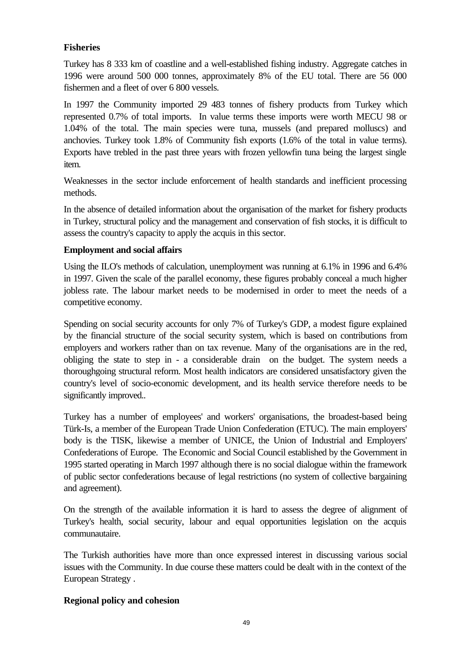#### **Fisheries**

Turkey has 8 333 km of coastline and a well-established fishing industry. Aggregate catches in 1996 were around 500 000 tonnes, approximately 8% of the EU total. There are 56 000 fishermen and a fleet of over 6 800 vessels.

In 1997 the Community imported 29 483 tonnes of fishery products from Turkey which represented 0.7% of total imports. In value terms these imports were worth MECU 98 or 1.04% of the total. The main species were tuna, mussels (and prepared molluscs) and anchovies. Turkey took 1.8% of Community fish exports (1.6% of the total in value terms). Exports have trebled in the past three years with frozen yellowfin tuna being the largest single item.

Weaknesses in the sector include enforcement of health standards and inefficient processing methods.

In the absence of detailed information about the organisation of the market for fishery products in Turkey, structural policy and the management and conservation of fish stocks, it is difficult to assess the country's capacity to apply the acquis in this sector.

#### **Employment and social affairs**

Using the ILO's methods of calculation, unemployment was running at 6.1% in 1996 and 6.4% in 1997. Given the scale of the parallel economy, these figures probably conceal a much higher jobless rate. The labour market needs to be modernised in order to meet the needs of a competitive economy.

Spending on social security accounts for only 7% of Turkey's GDP, a modest figure explained by the financial structure of the social security system, which is based on contributions from employers and workers rather than on tax revenue. Many of the organisations are in the red, obliging the state to step in - a considerable drain on the budget. The system needs a thoroughgoing structural reform. Most health indicators are considered unsatisfactory given the country's level of socio-economic development, and its health service therefore needs to be significantly improved..

Turkey has a number of employees' and workers' organisations, the broadest-based being Türk-Is, a member of the European Trade Union Confederation (ETUC). The main employers' body is the TISK, likewise a member of UNICE, the Union of Industrial and Employers' Confederations of Europe. The Economic and Social Council established by the Government in 1995 started operating in March 1997 although there is no social dialogue within the framework of public sector confederations because of legal restrictions (no system of collective bargaining and agreement).

On the strength of the available information it is hard to assess the degree of alignment of Turkey's health, social security, labour and equal opportunities legislation on the acquis communautaire.

The Turkish authorities have more than once expressed interest in discussing various social issues with the Community. In due course these matters could be dealt with in the context of the European Strategy .

#### **Regional policy and cohesion**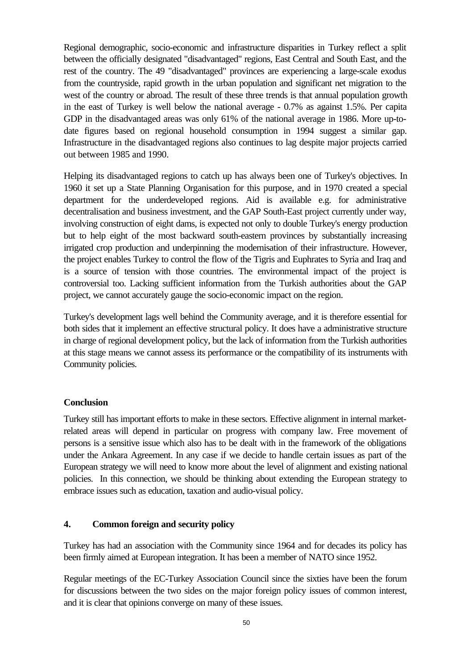Regional demographic, socio-economic and infrastructure disparities in Turkey reflect a split between the officially designated "disadvantaged" regions, East Central and South East, and the rest of the country. The 49 "disadvantaged" provinces are experiencing a large-scale exodus from the countryside, rapid growth in the urban population and significant net migration to the west of the country or abroad. The result of these three trends is that annual population growth in the east of Turkey is well below the national average - 0.7% as against 1.5%. Per capita GDP in the disadvantaged areas was only 61% of the national average in 1986. More up-todate figures based on regional household consumption in 1994 suggest a similar gap. Infrastructure in the disadvantaged regions also continues to lag despite major projects carried out between 1985 and 1990.

Helping its disadvantaged regions to catch up has always been one of Turkey's objectives. In 1960 it set up a State Planning Organisation for this purpose, and in 1970 created a special department for the underdeveloped regions. Aid is available e.g. for administrative decentralisation and business investment, and the GAP South-East project currently under way, involving construction of eight dams, is expected not only to double Turkey's energy production but to help eight of the most backward south-eastern provinces by substantially increasing irrigated crop production and underpinning the modernisation of their infrastructure. However, the project enables Turkey to control the flow of the Tigris and Euphrates to Syria and Iraq and is a source of tension with those countries. The environmental impact of the project is controversial too. Lacking sufficient information from the Turkish authorities about the GAP project, we cannot accurately gauge the socio-economic impact on the region.

Turkey's development lags well behind the Community average, and it is therefore essential for both sides that it implement an effective structural policy. It does have a administrative structure in charge of regional development policy, but the lack of information from the Turkish authorities at this stage means we cannot assess its performance or the compatibility of its instruments with Community policies.

#### **Conclusion**

Turkey still has important efforts to make in these sectors. Effective alignment in internal marketrelated areas will depend in particular on progress with company law. Free movement of persons is a sensitive issue which also has to be dealt with in the framework of the obligations under the Ankara Agreement. In any case if we decide to handle certain issues as part of the European strategy we will need to know more about the level of alignment and existing national policies. In this connection, we should be thinking about extending the European strategy to embrace issues such as education, taxation and audio-visual policy.

#### **4. Common foreign and security policy**

Turkey has had an association with the Community since 1964 and for decades its policy has been firmly aimed at European integration. It has been a member of NATO since 1952.

Regular meetings of the EC-Turkey Association Council since the sixties have been the forum for discussions between the two sides on the major foreign policy issues of common interest, and it is clear that opinions converge on many of these issues.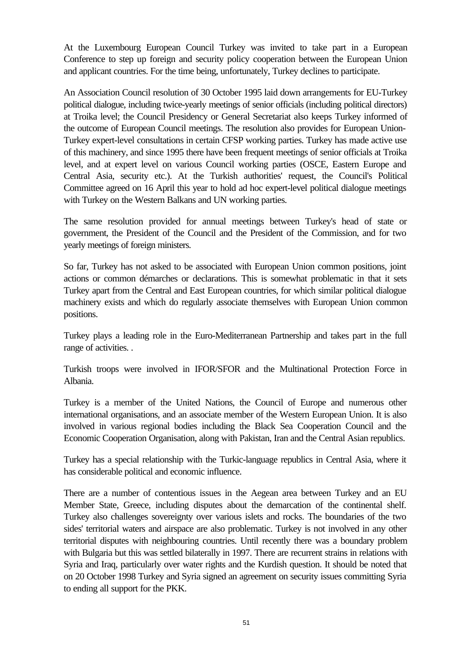At the Luxembourg European Council Turkey was invited to take part in a European Conference to step up foreign and security policy cooperation between the European Union and applicant countries. For the time being, unfortunately, Turkey declines to participate.

An Association Council resolution of 30 October 1995 laid down arrangements for EU-Turkey political dialogue, including twice-yearly meetings of senior officials (including political directors) at Troika level; the Council Presidency or General Secretariat also keeps Turkey informed of the outcome of European Council meetings. The resolution also provides for European Union-Turkey expert-level consultations in certain CFSP working parties. Turkey has made active use of this machinery, and since 1995 there have been frequent meetings of senior officials at Troika level, and at expert level on various Council working parties (OSCE, Eastern Europe and Central Asia, security etc.). At the Turkish authorities' request, the Council's Political Committee agreed on 16 April this year to hold ad hoc expert-level political dialogue meetings with Turkey on the Western Balkans and UN working parties.

The same resolution provided for annual meetings between Turkey's head of state or government, the President of the Council and the President of the Commission, and for two yearly meetings of foreign ministers.

So far, Turkey has not asked to be associated with European Union common positions, joint actions or common démarches or declarations. This is somewhat problematic in that it sets Turkey apart from the Central and East European countries, for which similar political dialogue machinery exists and which do regularly associate themselves with European Union common positions.

Turkey plays a leading role in the Euro-Mediterranean Partnership and takes part in the full range of activities. .

Turkish troops were involved in IFOR/SFOR and the Multinational Protection Force in Albania.

Turkey is a member of the United Nations, the Council of Europe and numerous other international organisations, and an associate member of the Western European Union. It is also involved in various regional bodies including the Black Sea Cooperation Council and the Economic Cooperation Organisation, along with Pakistan, Iran and the Central Asian republics.

Turkey has a special relationship with the Turkic-language republics in Central Asia, where it has considerable political and economic influence.

There are a number of contentious issues in the Aegean area between Turkey and an EU Member State, Greece, including disputes about the demarcation of the continental shelf. Turkey also challenges sovereignty over various islets and rocks. The boundaries of the two sides' territorial waters and airspace are also problematic. Turkey is not involved in any other territorial disputes with neighbouring countries. Until recently there was a boundary problem with Bulgaria but this was settled bilaterally in 1997. There are recurrent strains in relations with Syria and Iraq, particularly over water rights and the Kurdish question. It should be noted that on 20 October 1998 Turkey and Syria signed an agreement on security issues committing Syria to ending all support for the PKK.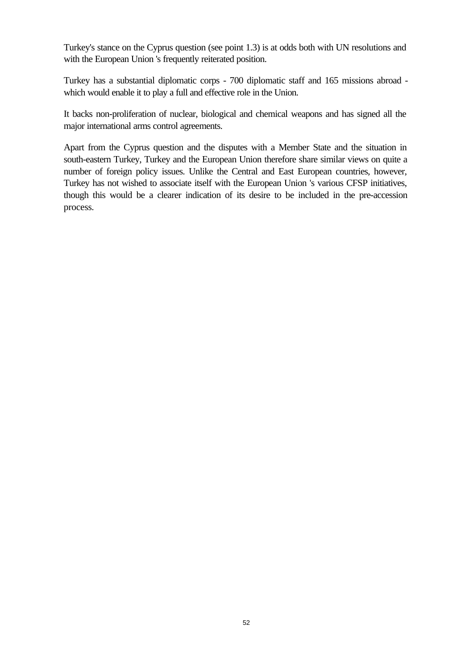Turkey's stance on the Cyprus question (see point 1.3) is at odds both with UN resolutions and with the European Union 's frequently reiterated position.

Turkey has a substantial diplomatic corps - 700 diplomatic staff and 165 missions abroad which would enable it to play a full and effective role in the Union.

It backs non-proliferation of nuclear, biological and chemical weapons and has signed all the major international arms control agreements.

Apart from the Cyprus question and the disputes with a Member State and the situation in south-eastern Turkey, Turkey and the European Union therefore share similar views on quite a number of foreign policy issues. Unlike the Central and East European countries, however, Turkey has not wished to associate itself with the European Union 's various CFSP initiatives, though this would be a clearer indication of its desire to be included in the pre-accession process*.*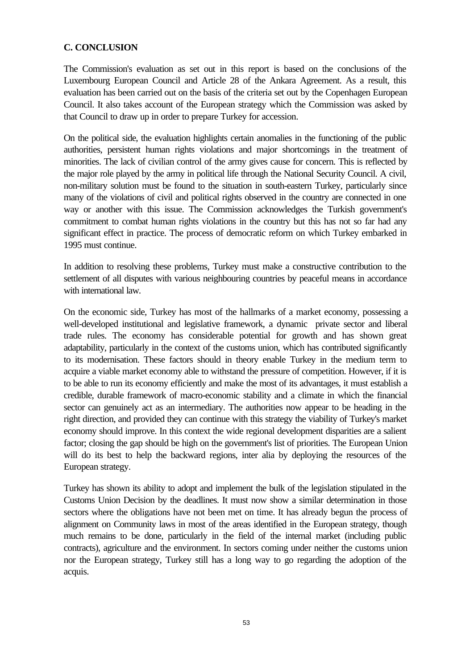#### **C. CONCLUSION**

The Commission's evaluation as set out in this report is based on the conclusions of the Luxembourg European Council and Article 28 of the Ankara Agreement. As a result, this evaluation has been carried out on the basis of the criteria set out by the Copenhagen European Council. It also takes account of the European strategy which the Commission was asked by that Council to draw up in order to prepare Turkey for accession.

On the political side, the evaluation highlights certain anomalies in the functioning of the public authorities, persistent human rights violations and major shortcomings in the treatment of minorities. The lack of civilian control of the army gives cause for concern. This is reflected by the major role played by the army in political life through the National Security Council. A civil, non-military solution must be found to the situation in south-eastern Turkey, particularly since many of the violations of civil and political rights observed in the country are connected in one way or another with this issue. The Commission acknowledges the Turkish government's commitment to combat human rights violations in the country but this has not so far had any significant effect in practice. The process of democratic reform on which Turkey embarked in 1995 must continue.

In addition to resolving these problems, Turkey must make a constructive contribution to the settlement of all disputes with various neighbouring countries by peaceful means in accordance with international law.

On the economic side, Turkey has most of the hallmarks of a market economy, possessing a well-developed institutional and legislative framework, a dynamic private sector and liberal trade rules. The economy has considerable potential for growth and has shown great adaptability, particularly in the context of the customs union, which has contributed significantly to its modernisation. These factors should in theory enable Turkey in the medium term to acquire a viable market economy able to withstand the pressure of competition. However, if it is to be able to run its economy efficiently and make the most of its advantages, it must establish a credible, durable framework of macro-economic stability and a climate in which the financial sector can genuinely act as an intermediary. The authorities now appear to be heading in the right direction, and provided they can continue with this strategy the viability of Turkey's market economy should improve. In this context the wide regional development disparities are a salient factor; closing the gap should be high on the government's list of priorities. The European Union will do its best to help the backward regions, inter alia by deploying the resources of the European strategy.

Turkey has shown its ability to adopt and implement the bulk of the legislation stipulated in the Customs Union Decision by the deadlines. It must now show a similar determination in those sectors where the obligations have not been met on time. It has already begun the process of alignment on Community laws in most of the areas identified in the European strategy, though much remains to be done, particularly in the field of the internal market (including public contracts), agriculture and the environment. In sectors coming under neither the customs union nor the European strategy, Turkey still has a long way to go regarding the adoption of the acquis.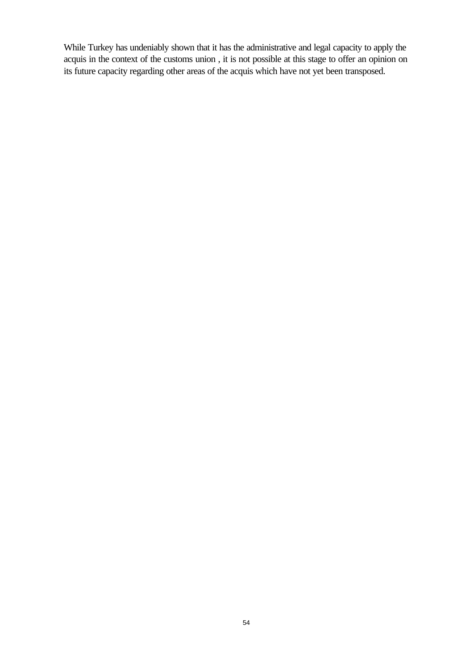While Turkey has undeniably shown that it has the administrative and legal capacity to apply the acquis in the context of the customs union , it is not possible at this stage to offer an opinion on its future capacity regarding other areas of the acquis which have not yet been transposed.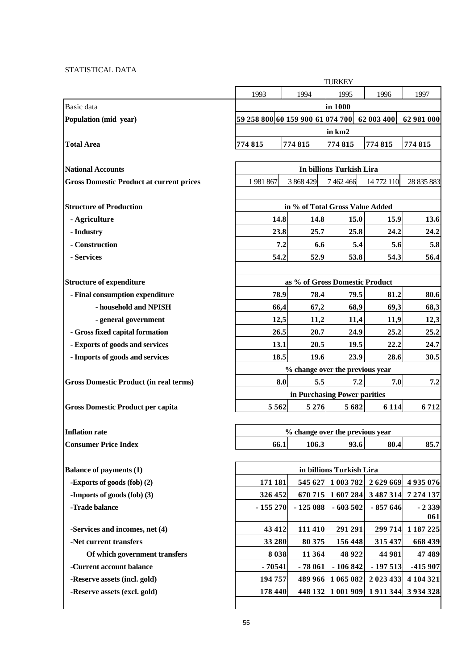#### STATISTICAL DATA

|                                                 | <b>TURKEY</b>                                                          |                                 |                              |            |                      |  |  |
|-------------------------------------------------|------------------------------------------------------------------------|---------------------------------|------------------------------|------------|----------------------|--|--|
|                                                 | 1993                                                                   | 1994                            | 1995                         | 1996       | 1997                 |  |  |
| Basic data                                      | in 1000                                                                |                                 |                              |            |                      |  |  |
| Population (mid year)                           | 59 258 800 60 159 900 61 074 700                                       |                                 |                              | 62 003 400 | 62 981 000           |  |  |
|                                                 |                                                                        |                                 | in km2                       |            |                      |  |  |
| <b>Total Area</b>                               | 774815                                                                 | 774815                          | 774815                       | 774815     | 774815               |  |  |
|                                                 |                                                                        |                                 |                              |            |                      |  |  |
| <b>National Accounts</b>                        | In billions Turkish Lira                                               |                                 |                              |            |                      |  |  |
| <b>Gross Domestic Product at current prices</b> | 1981867                                                                | 3 868 429                       | 7 462 466                    | 14 772 110 | 28 835 883           |  |  |
|                                                 |                                                                        |                                 |                              |            |                      |  |  |
| <b>Structure of Production</b>                  |                                                                        | in % of Total Gross Value Added |                              |            |                      |  |  |
| - Agriculture                                   | 14.8                                                                   | 14.8                            | 15.0                         | 15.9       | 13.6                 |  |  |
| - Industry                                      | 23.8                                                                   | 25.7                            | 25.8                         | 24.2       | 24.2                 |  |  |
| - Construction                                  | 7.2                                                                    | 6.6                             | 5.4                          | 5.6        | 5.8                  |  |  |
| - Services                                      | 54.2                                                                   | 52.9                            | 53.8                         | 54.3       | 56.4                 |  |  |
|                                                 |                                                                        |                                 |                              |            |                      |  |  |
| <b>Structure of expenditure</b>                 |                                                                        | as % of Gross Domestic Product  |                              |            |                      |  |  |
| - Final consumption expenditure                 | 78.9                                                                   | 78.4                            | 79.5                         | 81.2       | 80.6                 |  |  |
| - household and NPISH                           | 66,4                                                                   | 67,2                            | 68,9                         | 69,3       | 68,3                 |  |  |
| - general government                            | 12,5                                                                   | 11,2                            | 11,4                         | 11,9       | 12,3                 |  |  |
| - Gross fixed capital formation                 | 26.5                                                                   | 20.7                            | 24.9                         | 25.2       | 25.2                 |  |  |
| - Exports of goods and services                 | 13.1                                                                   | 20.5                            | 19.5                         | 22.2       | 24.7                 |  |  |
| - Imports of goods and services                 | 18.5                                                                   | 19.6                            | 23.9                         | 28.6       | 30.5                 |  |  |
|                                                 |                                                                        | % change over the previous year |                              | 7.0        |                      |  |  |
| <b>Gross Domestic Product (in real terms)</b>   | 5.5<br>8.0<br>7.2                                                      |                                 |                              |            | 7.2                  |  |  |
|                                                 |                                                                        |                                 | in Purchasing Power parities |            |                      |  |  |
| <b>Gross Domestic Product per capita</b>        | 5562                                                                   | 5 2 7 6                         | 5682                         | 6 1 1 4    | 6712                 |  |  |
|                                                 |                                                                        |                                 |                              |            |                      |  |  |
| <b>Inflation rate</b>                           | % change over the previous year                                        |                                 |                              |            |                      |  |  |
| <b>Consumer Price Index</b>                     | 66.1                                                                   | 106.3                           | 93.6                         | 80.4       | 85.7                 |  |  |
| <b>Balance of payments (1)</b>                  |                                                                        |                                 |                              |            |                      |  |  |
| -Exports of goods (fob) (2)                     | in billions Turkish Lira<br>171 181<br>545 627<br>1 003 782<br>2629669 |                                 |                              |            |                      |  |  |
| -Imports of goods (fob) (3)                     | 326 452                                                                | 670715                          | 1607284                      | 3 487 314  | 4935076<br>7 274 137 |  |  |
| -Trade balance                                  | $-155270$                                                              | $-125088$                       | $-603502$                    | $-857646$  | $-2339$              |  |  |
|                                                 |                                                                        |                                 |                              |            | 061                  |  |  |
| -Services and incomes, net (4)                  | 43 412                                                                 | 111 410                         | 291 291                      |            | 299 714 1 187 225    |  |  |
| -Net current transfers                          | 33 280                                                                 | 80 375                          | 156 448                      | 315 437    | 668 439              |  |  |
| Of which government transfers                   | 8038                                                                   | 11 3 64                         | 48 9 22                      | 44 981     | 47 489               |  |  |
| -Current account balance                        | $-70541$                                                               | $-78061$                        | $-106842$                    | $-197513$  | -415 907             |  |  |
| -Reserve assets (incl. gold)                    | 194757                                                                 | 489 966                         | 1 065 082                    | 2 023 433  | 4 104 321            |  |  |
| -Reserve assets (excl. gold)                    | 178 440                                                                | 448 132                         | 1 001 909                    |            | 1 911 344 3 934 328  |  |  |
|                                                 |                                                                        |                                 |                              |            |                      |  |  |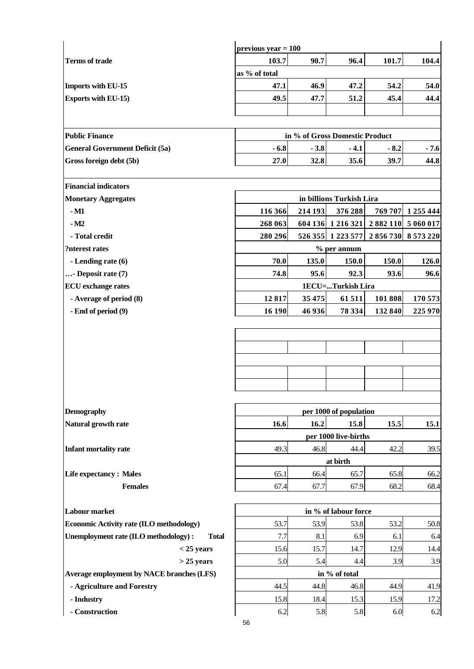|                                                       | previous year $= 100$    |         |                                |         |                     |  |
|-------------------------------------------------------|--------------------------|---------|--------------------------------|---------|---------------------|--|
| <b>Terms of trade</b>                                 | 103.7                    | 90.7    | 96.4                           | 101.7   | 104.4               |  |
|                                                       | as % of total            |         |                                |         |                     |  |
| Imports with EU-15                                    | 47.1                     | 46.9    | 47.2                           | 54.2    | 54.0                |  |
| <b>Exports with EU-15)</b>                            | 49.5                     | 47.7    | 51.2                           | 45.4    | 44.4                |  |
|                                                       |                          |         |                                |         |                     |  |
|                                                       |                          |         |                                |         |                     |  |
| <b>Public Finance</b>                                 |                          |         | in % of Gross Domestic Product |         |                     |  |
| <b>General Government Deficit (5a)</b>                | $-6.8$                   | $-3.8$  | $-4.1$                         | $-8.2$  | $-7.6$              |  |
| Gross foreign debt (5b)                               | 27.0                     | 32.8    | 35.6                           | 39.7    | 44.8                |  |
|                                                       |                          |         |                                |         |                     |  |
| <b>Financial indicators</b>                           |                          |         |                                |         |                     |  |
| <b>Monetary Aggregates</b>                            | in billions Turkish Lira |         |                                |         |                     |  |
| $-M1$                                                 | 116 366                  | 214 193 | 376 288                        |         | 769 707 1 255 444   |  |
| $-M2$                                                 | 268 063                  |         | 604 136 1 216 321              |         | 2 882 110 5 060 017 |  |
| - Total credit                                        | 280 296                  | 526 355 | 1 2 2 3 5 7 7                  |         | 2 856 730 8 573 220 |  |
| ?nterest rates                                        |                          |         | % per annum                    |         |                     |  |
| - Lending rate (6)                                    | 70.0                     | 135.0   | 150.0                          | 150.0   | 126.0               |  |
| $\ldots$ - Deposit rate (7)                           | 74.8                     | 95.6    | 92.3                           | 93.6    | 96.6                |  |
| <b>ECU</b> exchange rates                             |                          |         | 1ECU=Turkish Lira              |         |                     |  |
| - Average of period (8)                               | 12817                    | 35 475  | 61511                          | 101 808 | 170 573             |  |
| - End of period (9)                                   | 16 190                   | 46 936  | 78 334                         | 132 840 | 225 970             |  |
|                                                       |                          |         |                                |         |                     |  |
|                                                       |                          |         |                                |         |                     |  |
|                                                       |                          |         |                                |         |                     |  |
|                                                       |                          |         |                                |         |                     |  |
|                                                       |                          |         |                                |         |                     |  |
|                                                       |                          |         |                                |         |                     |  |
| <b>Demography</b>                                     |                          |         | per 1000 of population         |         |                     |  |
| Natural growth rate                                   | 16.6                     | 16.2    | 15.8                           | 15.5    | 15.1                |  |
|                                                       |                          |         | per 1000 live-births           |         |                     |  |
| Infant mortality rate                                 | 49.3                     | 46.8    | 44.4                           | 42.2    | 39.5                |  |
|                                                       | at birth                 |         |                                |         |                     |  |
| <b>Life expectancy: Males</b>                         | 65.1                     | 66.4    | 65.7                           | 65.8    | 66.2                |  |
| <b>Females</b>                                        | 67.4                     | 67.7    | 67.9                           | 68.2    | 68.4                |  |
|                                                       |                          |         |                                |         |                     |  |
| <b>Labour market</b>                                  | in % of labour force     |         |                                |         |                     |  |
| Economic Activity rate (ILO methodology)              | 53.7                     | 53.9    | 53.8                           | 53.2    | 50.8                |  |
| Unemployment rate (ILO methodology) :<br><b>Total</b> | 7.7                      | 8.1     | 6.9                            | 6.1     | 6.4                 |  |
| $<$ 25 years                                          | 15.6                     | 15.7    | 14.7                           | 12.9    | 14.4                |  |
| $>$ 25 years                                          | 5.0                      | 5.4     | 4.4                            | 3.9     | 3.9                 |  |
| Average employment by NACE branches (LFS)             | in % of total            |         |                                |         |                     |  |
| - Agriculture and Forestry                            | 44.5                     | 44.8    | 46.8                           | 44.9    | 41.9                |  |
| - Industry                                            | 15.8                     | 18.4    | 15.3                           | 15.9    | 17.2                |  |
| - Construction                                        | 6.2                      | 5.8     | 5.8                            | 6.0     | 6.2                 |  |
|                                                       | 56                       |         |                                |         |                     |  |